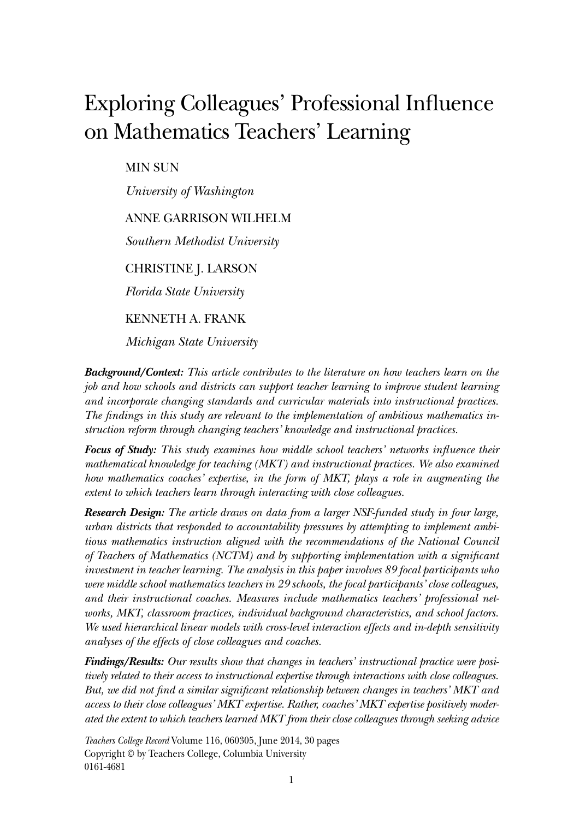# Exploring Colleagues' Professional Influence on Mathematics Teachers' Learning

MIN SUN

*University of Washington*

### ANNE GARRISON WILHELM

*Southern Methodist University*

CHRISTINE J. LARSON

*Florida State University*

KENNETH A. FRANK

*Michigan State University*

*Background/Context: This article contributes to the literature on how teachers learn on the job and how schools and districts can support teacher learning to improve student learning and incorporate changing standards and curricular materials into instructional practices. The findings in this study are relevant to the implementation of ambitious mathematics instruction reform through changing teachers' knowledge and instructional practices.*

*Focus of Study: This study examines how middle school teachers' networks influence their mathematical knowledge for teaching (MKT) and instructional practices. We also examined how mathematics coaches' expertise, in the form of MKT, plays a role in augmenting the extent to which teachers learn through interacting with close colleagues.*

*Research Design: The article draws on data from a larger NSF-funded study in four large, urban districts that responded to accountability pressures by attempting to implement ambitious mathematics instruction aligned with the recommendations of the National Council of Teachers of Mathematics (NCTM) and by supporting implementation with a significant investment in teacher learning. The analysis in this paper involves 89 focal participants who were middle school mathematics teachers in 29 schools, the focal participants' close colleagues, and their instructional coaches. Measures include mathematics teachers' professional networks, MKT, classroom practices, individual background characteristics, and school factors. We used hierarchical linear models with cross-level interaction effects and in-depth sensitivity analyses of the effects of close colleagues and coaches.*

*Findings/Results: Our results show that changes in teachers' instructional practice were positively related to their access to instructional expertise through interactions with close colleagues. But, we did not find a similar significant relationship between changes in teachers' MKT and access to their close colleagues' MKT expertise. Rather, coaches' MKT expertise positively moderated the extent to which teachers learned MKT from their close colleagues through seeking advice* 

*Teachers College Record* Volume 116, 060305, June 2014, 30 pages Copyright © by Teachers College, Columbia University 0161-4681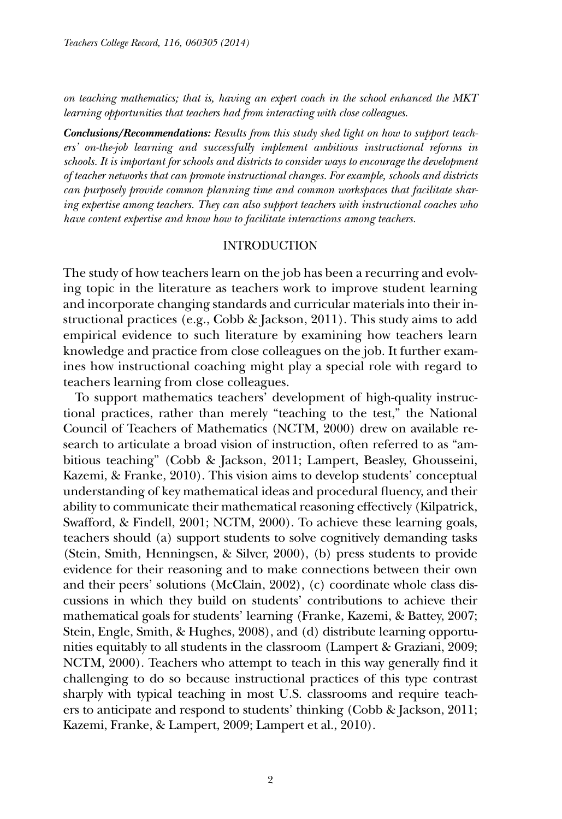*on teaching mathematics; that is, having an expert coach in the school enhanced the MKT learning opportunities that teachers had from interacting with close colleagues.*

*Conclusions/Recommendations: Results from this study shed light on how to support teachers' on-the-job learning and successfully implement ambitious instructional reforms in schools. It is important for schools and districts to consider ways to encourage the development of teacher networks that can promote instructional changes. For example, schools and districts can purposely provide common planning time and common workspaces that facilitate sharing expertise among teachers. They can also support teachers with instructional coaches who have content expertise and know how to facilitate interactions among teachers.*

#### INTRODUCTION

The study of how teachers learn on the job has been a recurring and evolving topic in the literature as teachers work to improve student learning and incorporate changing standards and curricular materials into their instructional practices (e.g., Cobb & Jackson, 2011). This study aims to add empirical evidence to such literature by examining how teachers learn knowledge and practice from close colleagues on the job. It further examines how instructional coaching might play a special role with regard to teachers learning from close colleagues.

To support mathematics teachers' development of high-quality instructional practices, rather than merely "teaching to the test," the National Council of Teachers of Mathematics (NCTM, 2000) drew on available research to articulate a broad vision of instruction, often referred to as "ambitious teaching" (Cobb & Jackson, 2011; Lampert, Beasley, Ghousseini, Kazemi, & Franke, 2010). This vision aims to develop students' conceptual understanding of key mathematical ideas and procedural fluency, and their ability to communicate their mathematical reasoning effectively (Kilpatrick, Swafford, & Findell, 2001; NCTM, 2000). To achieve these learning goals, teachers should (a) support students to solve cognitively demanding tasks (Stein, Smith, Henningsen, & Silver, 2000), (b) press students to provide evidence for their reasoning and to make connections between their own and their peers' solutions (McClain, 2002), (c) coordinate whole class discussions in which they build on students' contributions to achieve their mathematical goals for students' learning (Franke, Kazemi, & Battey, 2007; Stein, Engle, Smith, & Hughes, 2008), and (d) distribute learning opportunities equitably to all students in the classroom (Lampert & Graziani, 2009; NCTM, 2000). Teachers who attempt to teach in this way generally find it challenging to do so because instructional practices of this type contrast sharply with typical teaching in most U.S. classrooms and require teachers to anticipate and respond to students' thinking (Cobb & Jackson, 2011; Kazemi, Franke, & Lampert, 2009; Lampert et al., 2010).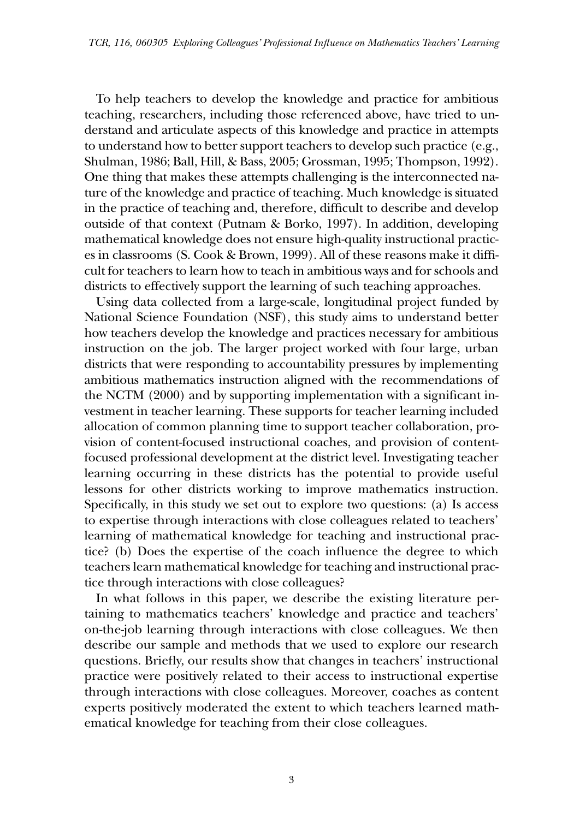To help teachers to develop the knowledge and practice for ambitious teaching, researchers, including those referenced above, have tried to understand and articulate aspects of this knowledge and practice in attempts to understand how to better support teachers to develop such practice (e.g., Shulman, 1986; Ball, Hill, & Bass, 2005; Grossman, 1995; Thompson, 1992). One thing that makes these attempts challenging is the interconnected nature of the knowledge and practice of teaching. Much knowledge is situated in the practice of teaching and, therefore, difficult to describe and develop outside of that context (Putnam & Borko, 1997). In addition, developing mathematical knowledge does not ensure high-quality instructional practices in classrooms (S. Cook & Brown, 1999). All of these reasons make it difficult for teachers to learn how to teach in ambitious ways and for schools and districts to effectively support the learning of such teaching approaches.

Using data collected from a large-scale, longitudinal project funded by National Science Foundation (NSF), this study aims to understand better how teachers develop the knowledge and practices necessary for ambitious instruction on the job. The larger project worked with four large, urban districts that were responding to accountability pressures by implementing ambitious mathematics instruction aligned with the recommendations of the NCTM (2000) and by supporting implementation with a significant investment in teacher learning. These supports for teacher learning included allocation of common planning time to support teacher collaboration, provision of content-focused instructional coaches, and provision of contentfocused professional development at the district level. Investigating teacher learning occurring in these districts has the potential to provide useful lessons for other districts working to improve mathematics instruction. Specifically, in this study we set out to explore two questions: (a) Is access to expertise through interactions with close colleagues related to teachers' learning of mathematical knowledge for teaching and instructional practice? (b) Does the expertise of the coach influence the degree to which teachers learn mathematical knowledge for teaching and instructional practice through interactions with close colleagues?

In what follows in this paper, we describe the existing literature pertaining to mathematics teachers' knowledge and practice and teachers' on-the-job learning through interactions with close colleagues. We then describe our sample and methods that we used to explore our research questions. Briefly, our results show that changes in teachers' instructional practice were positively related to their access to instructional expertise through interactions with close colleagues. Moreover, coaches as content experts positively moderated the extent to which teachers learned mathematical knowledge for teaching from their close colleagues.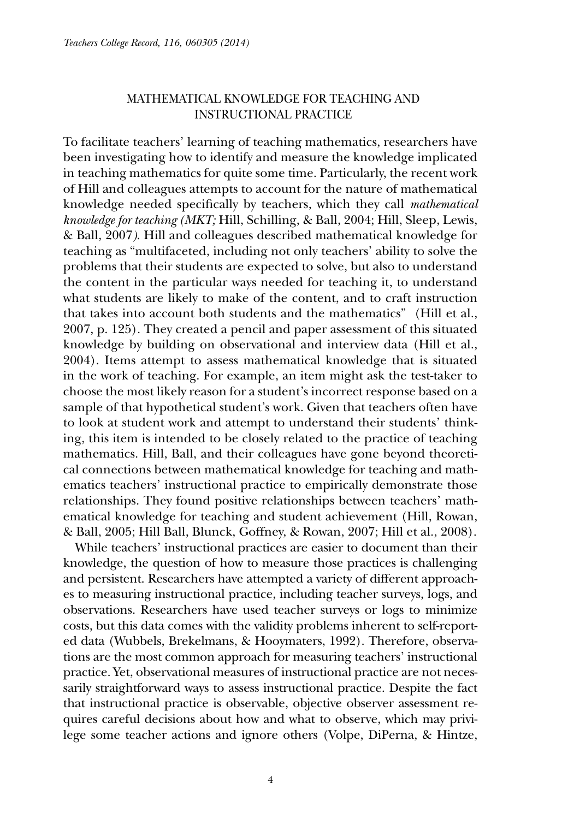# MATHEMATICAL KNOWLEDGE FOR TEACHING AND INSTRUCTIONAL PRACTICE

To facilitate teachers' learning of teaching mathematics, researchers have been investigating how to identify and measure the knowledge implicated in teaching mathematics for quite some time. Particularly, the recent work of Hill and colleagues attempts to account for the nature of mathematical knowledge needed specifically by teachers, which they call *mathematical knowledge for teaching (MKT;* Hill, Schilling, & Ball, 2004; Hill, Sleep, Lewis, & Ball, 2007*)*. Hill and colleagues described mathematical knowledge for teaching as "multifaceted, including not only teachers' ability to solve the problems that their students are expected to solve, but also to understand the content in the particular ways needed for teaching it, to understand what students are likely to make of the content, and to craft instruction that takes into account both students and the mathematics" (Hill et al., 2007, p. 125). They created a pencil and paper assessment of this situated knowledge by building on observational and interview data (Hill et al., 2004). Items attempt to assess mathematical knowledge that is situated in the work of teaching. For example, an item might ask the test-taker to choose the most likely reason for a student's incorrect response based on a sample of that hypothetical student's work. Given that teachers often have to look at student work and attempt to understand their students' thinking, this item is intended to be closely related to the practice of teaching mathematics. Hill, Ball, and their colleagues have gone beyond theoretical connections between mathematical knowledge for teaching and mathematics teachers' instructional practice to empirically demonstrate those relationships. They found positive relationships between teachers' mathematical knowledge for teaching and student achievement (Hill, Rowan, & Ball, 2005; Hill Ball, Blunck, Goffney, & Rowan, 2007; Hill et al., 2008).

While teachers' instructional practices are easier to document than their knowledge, the question of how to measure those practices is challenging and persistent. Researchers have attempted a variety of different approaches to measuring instructional practice, including teacher surveys, logs, and observations. Researchers have used teacher surveys or logs to minimize costs, but this data comes with the validity problems inherent to self-reported data (Wubbels, Brekelmans, & Hooymaters, 1992). Therefore, observations are the most common approach for measuring teachers' instructional practice. Yet, observational measures of instructional practice are not necessarily straightforward ways to assess instructional practice. Despite the fact that instructional practice is observable, objective observer assessment requires careful decisions about how and what to observe, which may privilege some teacher actions and ignore others (Volpe, DiPerna, & Hintze,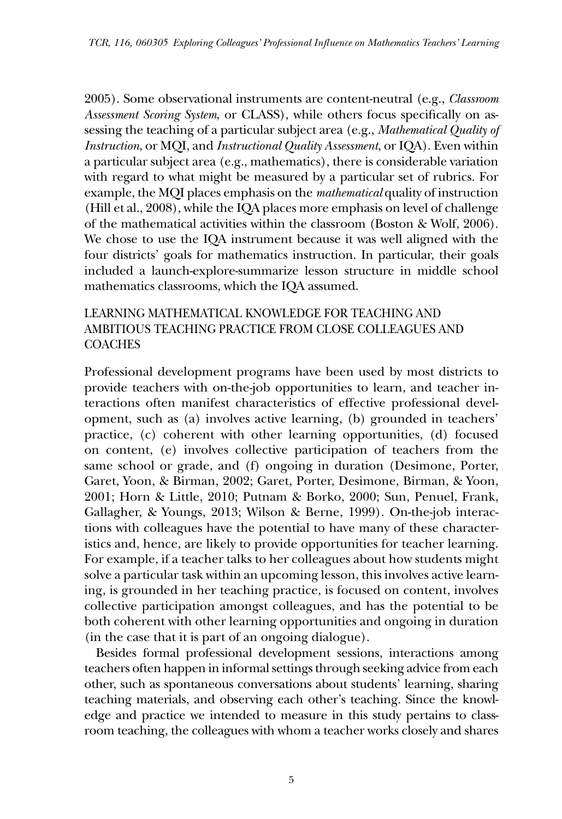2005). Some observational instruments are content-neutral (e.g., *Classroom Assessment Scoring System*, or CLASS), while others focus specifically on assessing the teaching of a particular subject area (e.g., *Mathematical Quality of Instruction*, or MQI, and *Instructional Quality Assessment*, or IQA). Even within a particular subject area (e.g., mathematics), there is considerable variation with regard to what might be measured by a particular set of rubrics. For example, the MQI places emphasis on the *mathematical* quality of instruction (Hill et al., 2008), while the IQA places more emphasis on level of challenge of the mathematical activities within the classroom (Boston & Wolf, 2006). We chose to use the IQA instrument because it was well aligned with the four districts' goals for mathematics instruction. In particular, their goals included a launch-explore-summarize lesson structure in middle school mathematics classrooms, which the IQA assumed.

# LEARNING MATHEMATICAL KNOWLEDGE FOR TEACHING AND AMBITIOUS TEACHING PRACTICE FROM CLOSE COLLEAGUES AND **COACHES**

Professional development programs have been used by most districts to provide teachers with on-the-job opportunities to learn, and teacher interactions often manifest characteristics of effective professional development, such as (a) involves active learning, (b) grounded in teachers' practice, (c) coherent with other learning opportunities, (d) focused on content, (e) involves collective participation of teachers from the same school or grade, and (f) ongoing in duration (Desimone, Porter, Garet, Yoon, & Birman, 2002; Garet, Porter, Desimone, Birman, & Yoon, 2001; Horn & Little, 2010; Putnam & Borko, 2000; Sun, Penuel, Frank, Gallagher, & Youngs, 2013; Wilson & Berne, 1999). On-the-job interactions with colleagues have the potential to have many of these characteristics and, hence, are likely to provide opportunities for teacher learning. For example, if a teacher talks to her colleagues about how students might solve a particular task within an upcoming lesson, this involves active learning, is grounded in her teaching practice, is focused on content, involves collective participation amongst colleagues, and has the potential to be both coherent with other learning opportunities and ongoing in duration (in the case that it is part of an ongoing dialogue).

Besides formal professional development sessions, interactions among teachers often happen in informal settings through seeking advice from each other, such as spontaneous conversations about students' learning, sharing teaching materials, and observing each other's teaching. Since the knowledge and practice we intended to measure in this study pertains to classroom teaching, the colleagues with whom a teacher works closely and shares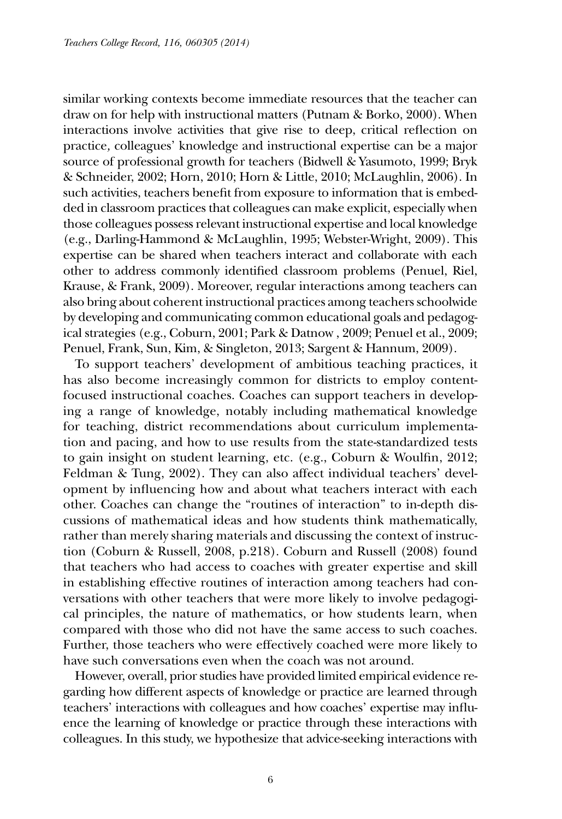similar working contexts become immediate resources that the teacher can draw on for help with instructional matters (Putnam & Borko, 2000). When interactions involve activities that give rise to deep, critical reflection on practice*,* colleagues' knowledge and instructional expertise can be a major source of professional growth for teachers (Bidwell & Yasumoto, 1999; Bryk & Schneider, 2002; Horn, 2010; Horn & Little, 2010; McLaughlin, 2006). In such activities, teachers benefit from exposure to information that is embedded in classroom practices that colleagues can make explicit, especially when those colleagues possess relevant instructional expertise and local knowledge (e.g., Darling-Hammond & McLaughlin, 1995; Webster-Wright, 2009). This expertise can be shared when teachers interact and collaborate with each other to address commonly identified classroom problems (Penuel, Riel, Krause, & Frank, 2009). Moreover, regular interactions among teachers can also bring about coherent instructional practices among teachers schoolwide by developing and communicating common educational goals and pedagogical strategies (e.g., Coburn, 2001; Park & Datnow , 2009; Penuel et al., 2009; Penuel, Frank, Sun, Kim, & Singleton, 2013; Sargent & Hannum, 2009).

To support teachers' development of ambitious teaching practices, it has also become increasingly common for districts to employ contentfocused instructional coaches. Coaches can support teachers in developing a range of knowledge, notably including mathematical knowledge for teaching, district recommendations about curriculum implementation and pacing, and how to use results from the state-standardized tests to gain insight on student learning, etc. (e.g., Coburn & Woulfin, 2012; Feldman & Tung, 2002). They can also affect individual teachers' development by influencing how and about what teachers interact with each other. Coaches can change the "routines of interaction" to in-depth discussions of mathematical ideas and how students think mathematically, rather than merely sharing materials and discussing the context of instruction (Coburn & Russell, 2008, p.218). Coburn and Russell (2008) found that teachers who had access to coaches with greater expertise and skill in establishing effective routines of interaction among teachers had conversations with other teachers that were more likely to involve pedagogical principles, the nature of mathematics, or how students learn, when compared with those who did not have the same access to such coaches. Further, those teachers who were effectively coached were more likely to have such conversations even when the coach was not around.

However, overall, prior studies have provided limited empirical evidence regarding how different aspects of knowledge or practice are learned through teachers' interactions with colleagues and how coaches' expertise may influence the learning of knowledge or practice through these interactions with colleagues. In this study, we hypothesize that advice-seeking interactions with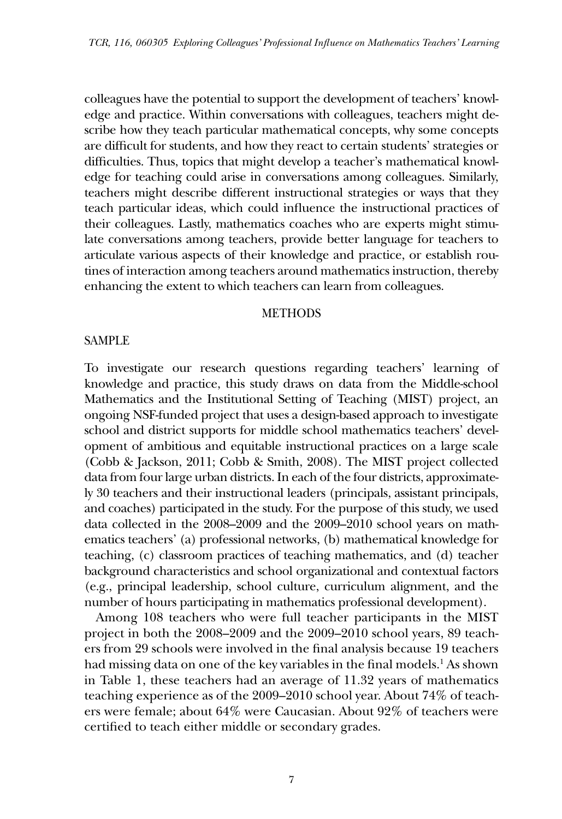colleagues have the potential to support the development of teachers' knowledge and practice. Within conversations with colleagues, teachers might describe how they teach particular mathematical concepts, why some concepts are difficult for students, and how they react to certain students' strategies or difficulties. Thus, topics that might develop a teacher's mathematical knowledge for teaching could arise in conversations among colleagues. Similarly, teachers might describe different instructional strategies or ways that they teach particular ideas, which could influence the instructional practices of their colleagues. Lastly, mathematics coaches who are experts might stimulate conversations among teachers, provide better language for teachers to articulate various aspects of their knowledge and practice, or establish routines of interaction among teachers around mathematics instruction, thereby enhancing the extent to which teachers can learn from colleagues.

### METHODS

### SAMPLE

To investigate our research questions regarding teachers' learning of knowledge and practice, this study draws on data from the Middle-school Mathematics and the Institutional Setting of Teaching (MIST) project, an ongoing NSF-funded project that uses a design-based approach to investigate school and district supports for middle school mathematics teachers' development of ambitious and equitable instructional practices on a large scale (Cobb & Jackson, 2011; Cobb & Smith, 2008). The MIST project collected data from four large urban districts. In each of the four districts, approximately 30 teachers and their instructional leaders (principals, assistant principals, and coaches) participated in the study. For the purpose of this study, we used data collected in the 2008–2009 and the 2009–2010 school years on mathematics teachers' (a) professional networks, (b) mathematical knowledge for teaching, (c) classroom practices of teaching mathematics, and (d) teacher background characteristics and school organizational and contextual factors (e.g., principal leadership, school culture, curriculum alignment, and the number of hours participating in mathematics professional development).

Among 108 teachers who were full teacher participants in the MIST project in both the 2008–2009 and the 2009–2010 school years, 89 teachers from 29 schools were involved in the final analysis because 19 teachers had missing data on one of the key variables in the final models.<sup>1</sup> As shown in Table 1, these teachers had an average of 11.32 years of mathematics teaching experience as of the 2009–2010 school year. About 74% of teachers were female; about 64% were Caucasian. About 92% of teachers were certified to teach either middle or secondary grades.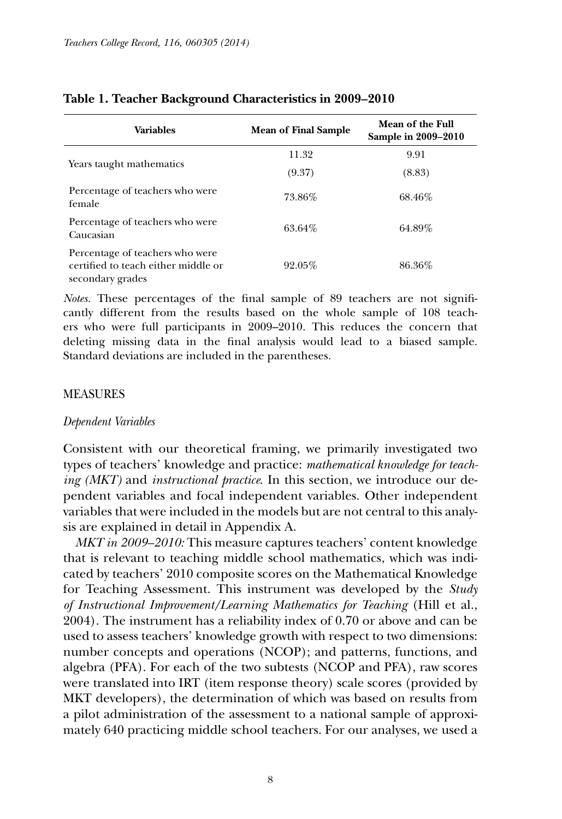| <b>Variables</b>                                                                           | <b>Mean of Final Sample</b> | Mean of the Full<br>Sample in 2009–2010 |
|--------------------------------------------------------------------------------------------|-----------------------------|-----------------------------------------|
|                                                                                            | 11.32                       | 9.91                                    |
| Years taught mathematics                                                                   | (9.37)                      | (8.83)                                  |
| Percentage of teachers who were<br>female                                                  | 73.86%                      | 68.46%                                  |
| Percentage of teachers who were<br>Caucasian                                               | 63.64%                      | 64.89%                                  |
| Percentage of teachers who were<br>certified to teach either middle or<br>secondary grades | 92.05%                      | 86.36%                                  |

### **Table 1. Teacher Background Characteristics in 2009–2010**

*Notes.* These percentages of the final sample of 89 teachers are not significantly different from the results based on the whole sample of 108 teachers who were full participants in 2009–2010. This reduces the concern that deleting missing data in the final analysis would lead to a biased sample. Standard deviations are included in the parentheses.

### MEASURES

#### *Dependent Variables*

Consistent with our theoretical framing, we primarily investigated two types of teachers' knowledge and practice: *mathematical knowledge for teaching (MKT)* and *instructional practice*. In this section, we introduce our dependent variables and focal independent variables. Other independent variables that were included in the models but are not central to this analysis are explained in detail in Appendix A.

*MKT in 2009–2010:* This measure captures teachers' content knowledge that is relevant to teaching middle school mathematics, which was indicated by teachers' 2010 composite scores on the Mathematical Knowledge for Teaching Assessment. This instrument was developed by the *Study of Instructional Improvement/Learning Mathematics for Teaching* (Hill et al., 2004). The instrument has a reliability index of 0.70 or above and can be used to assess teachers' knowledge growth with respect to two dimensions: number concepts and operations (NCOP); and patterns, functions, and algebra (PFA). For each of the two subtests (NCOP and PFA), raw scores were translated into IRT (item response theory) scale scores (provided by MKT developers), the determination of which was based on results from a pilot administration of the assessment to a national sample of approximately 640 practicing middle school teachers. For our analyses, we used a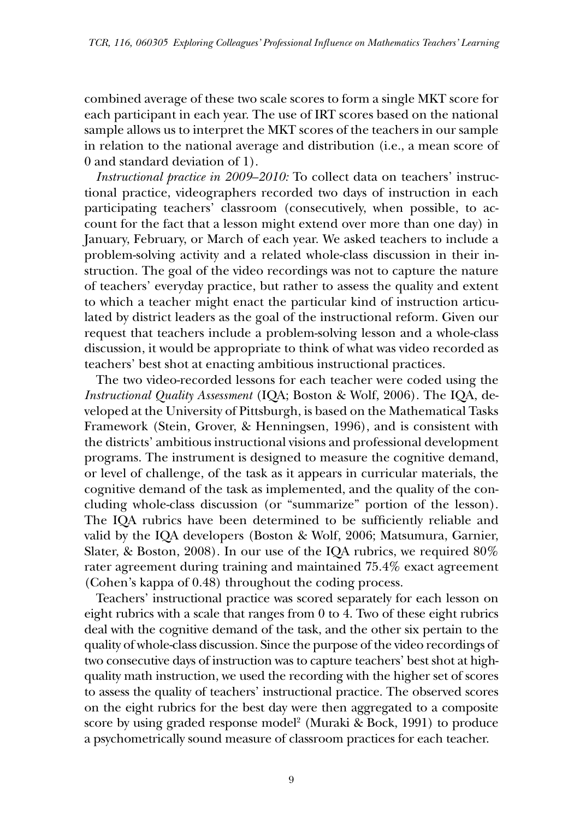combined average of these two scale scores to form a single MKT score for each participant in each year. The use of IRT scores based on the national sample allows us to interpret the MKT scores of the teachers in our sample in relation to the national average and distribution (i.e., a mean score of 0 and standard deviation of 1).

*Instructional practice in 2009–2010:* To collect data on teachers' instructional practice, videographers recorded two days of instruction in each participating teachers' classroom (consecutively, when possible, to account for the fact that a lesson might extend over more than one day) in January, February, or March of each year. We asked teachers to include a problem-solving activity and a related whole-class discussion in their instruction. The goal of the video recordings was not to capture the nature of teachers' everyday practice, but rather to assess the quality and extent to which a teacher might enact the particular kind of instruction articulated by district leaders as the goal of the instructional reform. Given our request that teachers include a problem-solving lesson and a whole-class discussion, it would be appropriate to think of what was video recorded as teachers' best shot at enacting ambitious instructional practices.

The two video-recorded lessons for each teacher were coded using the *Instructional Quality Assessment* (IQA; Boston & Wolf, 2006). The IQA, developed at the University of Pittsburgh, is based on the Mathematical Tasks Framework (Stein, Grover, & Henningsen, 1996), and is consistent with the districts' ambitious instructional visions and professional development programs. The instrument is designed to measure the cognitive demand, or level of challenge, of the task as it appears in curricular materials, the cognitive demand of the task as implemented, and the quality of the concluding whole-class discussion (or "summarize" portion of the lesson). The IQA rubrics have been determined to be sufficiently reliable and valid by the IQA developers (Boston & Wolf, 2006; Matsumura, Garnier, Slater, & Boston, 2008). In our use of the IQA rubrics, we required 80% rater agreement during training and maintained 75.4% exact agreement (Cohen's kappa of 0.48) throughout the coding process.

Teachers' instructional practice was scored separately for each lesson on eight rubrics with a scale that ranges from 0 to 4. Two of these eight rubrics deal with the cognitive demand of the task, and the other six pertain to the quality of whole-class discussion. Since the purpose of the video recordings of two consecutive days of instruction was to capture teachers' best shot at highquality math instruction, we used the recording with the higher set of scores to assess the quality of teachers' instructional practice. The observed scores on the eight rubrics for the best day were then aggregated to a composite score by using graded response model<sup>2</sup> (Muraki & Bock, 1991) to produce a psychometrically sound measure of classroom practices for each teacher.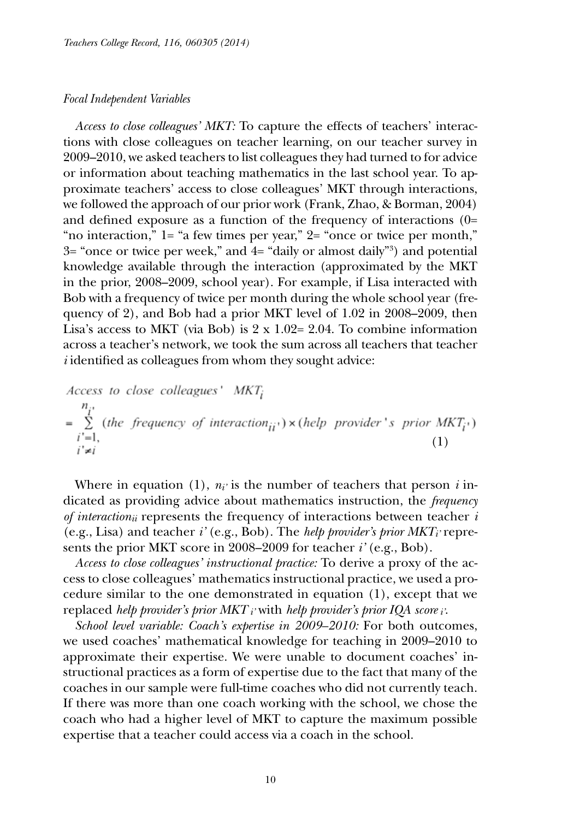### *Focal Independent Variables*

*Access to close colleagues' MKT:* To capture the effects of teachers' interactions with close colleagues on teacher learning, on our teacher survey in 2009–2010, we asked teachers to list colleagues they had turned to for advice or information about teaching mathematics in the last school year. To approximate teachers' access to close colleagues' MKT through interactions, we followed the approach of our prior work (Frank, Zhao, & Borman, 2004) and defined exposure as a function of the frequency of interactions (0= "no interaction," 1= "a few times per year," 2= "once or twice per month," 3= "once or twice per week," and 4= "daily or almost daily"3 ) and potential knowledge available through the interaction (approximated by the MKT in the prior, 2008–2009, school year). For example, if Lisa interacted with Bob with a frequency of twice per month during the whole school year (frequency of 2), and Bob had a prior MKT level of 1.02 in 2008–2009, then Lisa's access to MKT (via Bob) is  $2 \times 1.02 = 2.04$ . To combine information across a teacher's network, we took the sum across all teachers that teacher *i* identified as colleagues from whom they sought advice:

*Access to close colleagues' MKT<sub>i</sub>*  
\n
$$
n_{i'}
$$
\n
$$
= \sum_{i'=1}^{n_i} (the frequency of interaction_{ii'}) \times (help provider's prior MKT_i')
$$
\n
$$
i'=1,
$$
\n(1)

Where in equation (1),  $n_i$  is the number of teachers that person *i* indicated as providing advice about mathematics instruction, the *frequency of interactionii* represents the frequency of interactions between teacher *i* (e.g., Lisa) and teacher *i'* (e.g., Bob). The *help provider's prior MKTi'* represents the prior MKT score in 2008–2009 for teacher *i'* (e.g., Bob).

*Access to close colleagues' instructional practice:* To derive a proxy of the access to close colleagues' mathematics instructional practice, we used a procedure similar to the one demonstrated in equation (1), except that we replaced *help provider's prior MKT i'* with *help provider's prior IQA score i'*.

*School level variable: Coach's expertise in 2009–2010:* For both outcomes, we used coaches' mathematical knowledge for teaching in 2009–2010 to approximate their expertise. We were unable to document coaches' instructional practices as a form of expertise due to the fact that many of the coaches in our sample were full-time coaches who did not currently teach. If there was more than one coach working with the school, we chose the coach who had a higher level of MKT to capture the maximum possible expertise that a teacher could access via a coach in the school.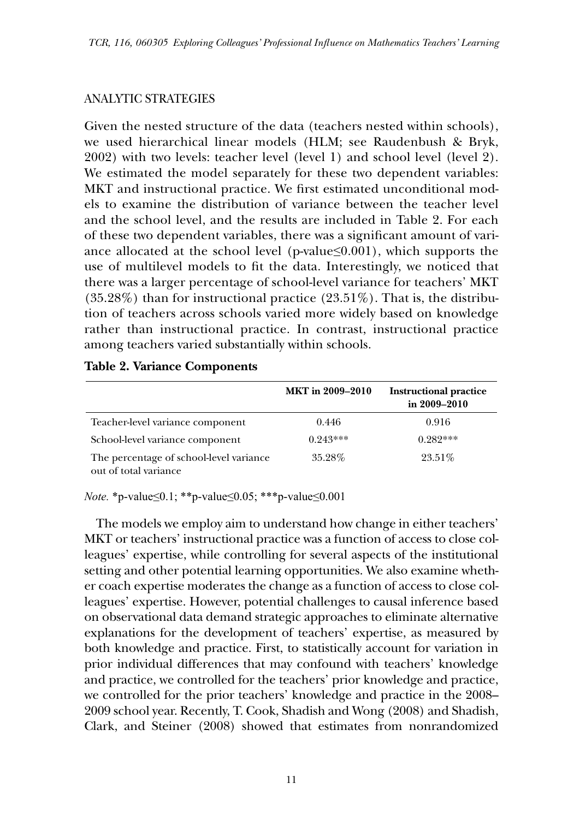# ANALYTIC STRATEGIES

Given the nested structure of the data (teachers nested within schools), we used hierarchical linear models (HLM; see Raudenbush & Bryk, 2002) with two levels: teacher level (level 1) and school level (level 2). We estimated the model separately for these two dependent variables: MKT and instructional practice. We first estimated unconditional models to examine the distribution of variance between the teacher level and the school level, and the results are included in Table 2. For each of these two dependent variables, there was a significant amount of variance allocated at the school level (p-value $\leq 0.001$ ), which supports the use of multilevel models to fit the data. Interestingly, we noticed that there was a larger percentage of school-level variance for teachers' MKT  $(35.28%)$  than for instructional practice  $(23.51%)$ . That is, the distribution of teachers across schools varied more widely based on knowledge rather than instructional practice. In contrast, instructional practice among teachers varied substantially within schools.

|                                                                  | <b>MKT</b> in 2009-2010 | <b>Instructional practice</b><br>in 2009-2010 |
|------------------------------------------------------------------|-------------------------|-----------------------------------------------|
| Teacher-level variance component                                 | 0.446                   | 0.916                                         |
| School-level variance component                                  | $0.943***$              | $0.282***$                                    |
| The percentage of school-level variance<br>out of total variance | 35.28%                  | 23.51%                                        |

## **Table 2. Variance Components**

*Note.* \*p-value≤0.1; \*\*p-value≤0.05; \*\*\*p-value≤0.001

The models we employ aim to understand how change in either teachers' MKT or teachers' instructional practice was a function of access to close colleagues' expertise, while controlling for several aspects of the institutional setting and other potential learning opportunities. We also examine whether coach expertise moderates the change as a function of access to close colleagues' expertise. However, potential challenges to causal inference based on observational data demand strategic approaches to eliminate alternative explanations for the development of teachers' expertise, as measured by both knowledge and practice. First, to statistically account for variation in prior individual differences that may confound with teachers' knowledge and practice, we controlled for the teachers' prior knowledge and practice, we controlled for the prior teachers' knowledge and practice in the 2008– 2009 school year. Recently, T. Cook, Shadish and Wong (2008) and Shadish, Clark, and Steiner (2008) showed that estimates from nonrandomized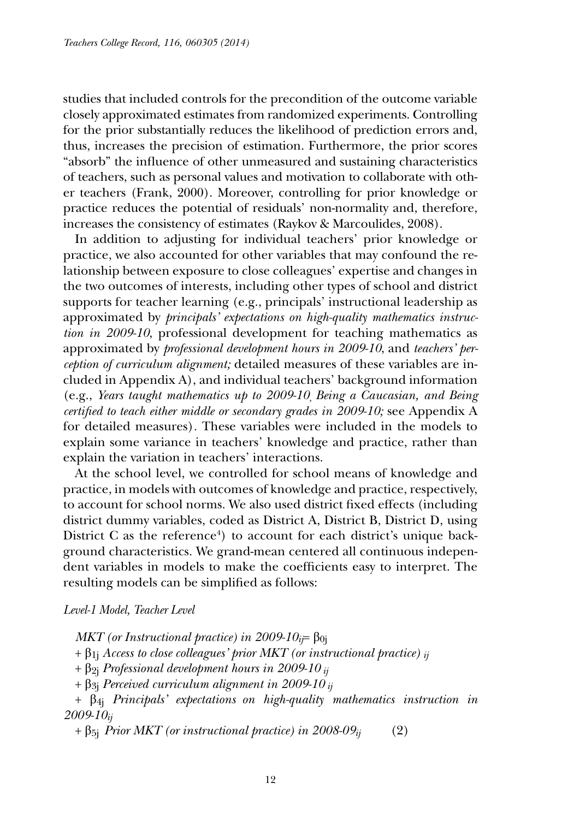studies that included controls for the precondition of the outcome variable closely approximated estimates from randomized experiments. Controlling for the prior substantially reduces the likelihood of prediction errors and, thus, increases the precision of estimation. Furthermore, the prior scores "absorb" the influence of other unmeasured and sustaining characteristics of teachers, such as personal values and motivation to collaborate with other teachers (Frank, 2000). Moreover, controlling for prior knowledge or practice reduces the potential of residuals' non-normality and, therefore, increases the consistency of estimates (Raykov & Marcoulides, 2008).

In addition to adjusting for individual teachers' prior knowledge or practice, we also accounted for other variables that may confound the relationship between exposure to close colleagues' expertise and changes in the two outcomes of interests, including other types of school and district supports for teacher learning (e.g., principals' instructional leadership as approximated by *principals' expectations on high-quality mathematics instruction in 2009-10*, professional development for teaching mathematics as approximated by *professional development hours in 2009-10*, and *teachers' perception of curriculum alignment;* detailed measures of these variables are included in Appendix A), and individual teachers' background information (e.g., *Years taught mathematics up to 2009-10, Being a Caucasian, and Being certified to teach either middle or secondary grades in 2009-10;* see Appendix A for detailed measures)*.* These variables were included in the models to explain some variance in teachers' knowledge and practice, rather than explain the variation in teachers' interactions.

At the school level, we controlled for school means of knowledge and practice, in models with outcomes of knowledge and practice, respectively, to account for school norms. We also used district fixed effects (including district dummy variables, coded as District A, District B, District D, using District C as the reference<sup>4</sup>) to account for each district's unique background characteristics. We grand-mean centered all continuous independent variables in models to make the coefficients easy to interpret. The resulting models can be simplified as follows:

### *Level-1 Model, Teacher Level*

*MKT* (or Instructional practice) in 2009-10<sub>i</sub>= β<sub>0j</sub>

- + β1j *Access to close colleagues' prior MKT (or instructional practice) ij*
- + β2j *Professional development hours in 2009-10 ij*
- + β3j *Perceived curriculum alignment in 2009-10 ij*

+ β4j *Principals' expectations on high-quality mathematics instruction in 2009-10ij* 

 $+ \beta_{5j}$  *Prior MKT* (*or instructional practice*) *in 2008-09* $_{ij}$  (2)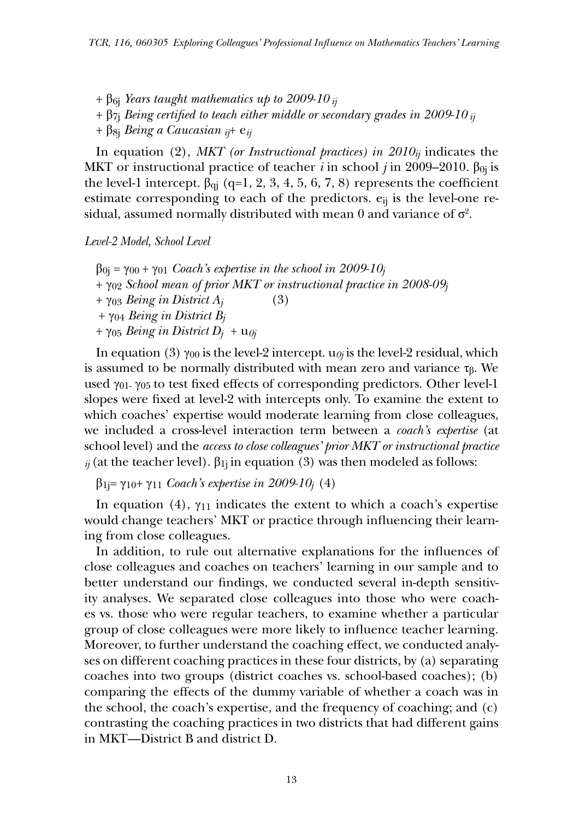$+ \beta_{6i}$  *Years taught mathematics up to 2009-10 <sub>ij</sub>* 

 $+$   $\beta$ <sub>7j</sub> *Being certified to teach either middle or secondary grades in 2009-10*  $_{ij}$ 

+ β8j *Being a Caucasian ij*+ e*ij* 

In equation (2), *MKT* (or *Instructional practices*) in  $2010<sub>ij</sub>$  indicates the MKT or instructional practice of teacher *i* in school *j* in 2009–2010. β<sub>0j</sub> is the level-1 intercept.  $\beta_{qi}$  (q=1, 2, 3, 4, 5, 6, 7, 8) represents the coefficient estimate corresponding to each of the predictors.  $e_{ij}$  is the level-one residual, assumed normally distributed with mean  $0$  and variance of  $\sigma^2$ .

### *Level-2 Model, School Level*

 $\beta_{0j} = \gamma_{00} + \gamma_{01}$  *Coach's expertise in the school in 2009-10<sub>j</sub>* + γ02 *School mean of prior MKT or instructional practice in 2008-09j*   $+ \gamma_{03}$  *Being in District A<sub>j</sub>* (3) + γ04 *Being in District Bj*   $+ \gamma_{05}$  *Being in District D<sub>j</sub>*  $+ u_{0j}$ 

In equation (3)  $\gamma_{00}$  is the level-2 intercept.  $u_{0j}$  is the level-2 residual, which is assumed to be normally distributed with mean zero and variance τ $<sub>β</sub>$ . We</sub> used γ01- γ05 to test fixed effects of corresponding predictors. Other level-1 slopes were fixed at level-2 with intercepts only. To examine the extent to which coaches' expertise would moderate learning from close colleagues, we included a cross-level interaction term between a *coach's expertise* (at school level) and the *access to close colleagues' prior MKT or instructional practice*   $\dot{y}$  (at the teacher level).  $\beta_{1j}$  in equation (3) was then modeled as follows:

β1j= γ10+ γ11 *Coach's expertise in 2009-10j* (4)

In equation (4),  $\gamma_{11}$  indicates the extent to which a coach's expertise would change teachers' MKT or practice through influencing their learning from close colleagues.

In addition, to rule out alternative explanations for the influences of close colleagues and coaches on teachers' learning in our sample and to better understand our findings, we conducted several in-depth sensitivity analyses. We separated close colleagues into those who were coaches vs. those who were regular teachers, to examine whether a particular group of close colleagues were more likely to influence teacher learning. Moreover, to further understand the coaching effect, we conducted analyses on different coaching practices in these four districts, by (a) separating coaches into two groups (district coaches vs. school-based coaches); (b) comparing the effects of the dummy variable of whether a coach was in the school, the coach's expertise, and the frequency of coaching; and (c) contrasting the coaching practices in two districts that had different gains in MKT—District B and district D.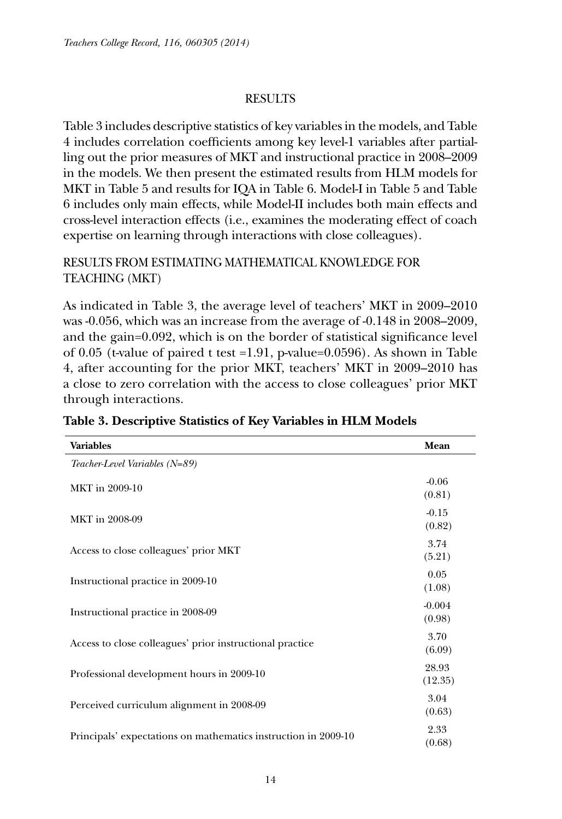# RESULTS

Table 3 includes descriptive statistics of key variables in the models, and Table 4 includes correlation coefficients among key level-1 variables after partialling out the prior measures of MKT and instructional practice in 2008–2009 in the models. We then present the estimated results from HLM models for MKT in Table 5 and results for IQA in Table 6. Model-I in Table 5 and Table 6 includes only main effects, while Model-II includes both main effects and cross-level interaction effects (i.e., examines the moderating effect of coach expertise on learning through interactions with close colleagues).

# RESULTS FROM ESTIMATING MATHEMATICAL KNOWLEDGE FOR TEACHING (MKT)

As indicated in Table 3, the average level of teachers' MKT in 2009–2010 was -0.056, which was an increase from the average of -0.148 in 2008–2009, and the gain=0.092, which is on the border of statistical significance level of 0.05 (t-value of paired t test =1.91, p-value=0.0596). As shown in Table 4, after accounting for the prior MKT, teachers' MKT in 2009–2010 has a close to zero correlation with the access to close colleagues' prior MKT through interactions.

| <b>Variables</b>                                               | Mean               |
|----------------------------------------------------------------|--------------------|
| Teacher-Level Variables (N=89)                                 |                    |
| MKT in 2009-10                                                 | $-0.06$<br>(0.81)  |
| MKT in 2008-09                                                 | $-0.15$<br>(0.82)  |
| Access to close colleagues' prior MKT                          | 3.74<br>(5.21)     |
| Instructional practice in 2009-10                              | 0.05<br>(1.08)     |
| Instructional practice in 2008-09                              | $-0.004$<br>(0.98) |
| Access to close colleagues' prior instructional practice       | 3.70<br>(6.09)     |
| Professional development hours in 2009-10                      | 28.93<br>(12.35)   |
| Perceived curriculum alignment in 2008-09                      | 3.04<br>(0.63)     |
| Principals' expectations on mathematics instruction in 2009-10 | 2.33<br>(0.68)     |

# **Table 3. Descriptive Statistics of Key Variables in HLM Models**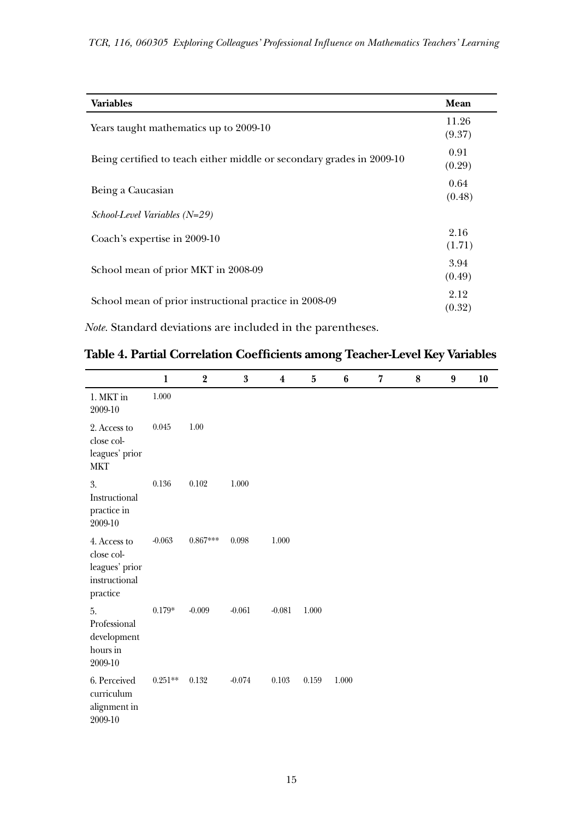| <b>Variables</b>                                                      | Mean            |
|-----------------------------------------------------------------------|-----------------|
| Years taught mathematics up to 2009-10                                | 11.26<br>(9.37) |
| Being certified to teach either middle or secondary grades in 2009-10 | 0.91<br>(0.29)  |
| Being a Caucasian                                                     | 0.64<br>(0.48)  |
| $School$ -Level Variables ( $N=29$ )                                  |                 |
| Coach's expertise in 2009-10                                          | 2.16<br>(1.71)  |
| School mean of prior MKT in 2008-09                                   | 3.94<br>(0.49)  |
| School mean of prior instructional practice in 2008-09                | 2.12<br>(0.32)  |

*Note.* Standard deviations are included in the parentheses.

| Table 4. Partial Correlation Coefficients among Teacher-Level Key Variables |  |  |  |
|-----------------------------------------------------------------------------|--|--|--|
|-----------------------------------------------------------------------------|--|--|--|

|                                                                           | 1         | 2          | $\boldsymbol{3}$ | $\boldsymbol{4}$ | 5     | 6     | 7 | 8 | 9 | 10 |
|---------------------------------------------------------------------------|-----------|------------|------------------|------------------|-------|-------|---|---|---|----|
| 1. MKT in<br>2009-10                                                      | 1.000     |            |                  |                  |       |       |   |   |   |    |
| 2. Access to<br>close col-<br>leagues' prior<br><b>MKT</b>                | 0.045     | 1.00       |                  |                  |       |       |   |   |   |    |
| 3.<br>Instructional<br>practice in<br>2009-10                             | 0.136     | 0.102      | 1.000            |                  |       |       |   |   |   |    |
| 4. Access to<br>close col-<br>leagues' prior<br>instructional<br>practice | $-0.063$  | $0.867***$ | 0.098            | 1.000            |       |       |   |   |   |    |
| 5.<br>Professional<br>development<br>hours in<br>2009-10                  | $0.179*$  | $-0.009$   | $-0.061$         | $-0.081$         | 1.000 |       |   |   |   |    |
| 6. Perceived<br>curriculum<br>alignment in<br>2009-10                     | $0.251**$ | 0.132      | $-0.074$         | 0.103            | 0.159 | 1.000 |   |   |   |    |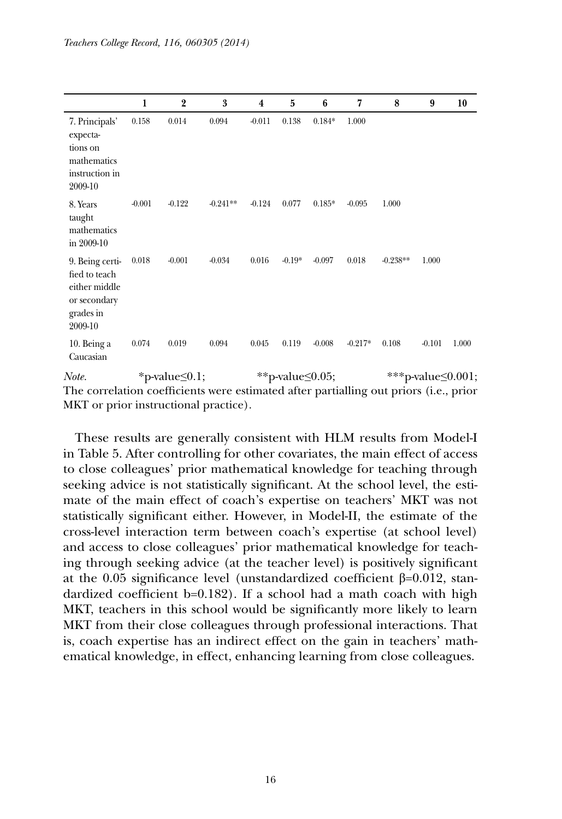|                                                                                           | 1        | $\overline{2}$ | 3          | $\overline{\mathbf{4}}$ | 5                 | 6        | 7         | 8          | 9                   | 10    |
|-------------------------------------------------------------------------------------------|----------|----------------|------------|-------------------------|-------------------|----------|-----------|------------|---------------------|-------|
| 7. Principals'<br>expecta-<br>tions on<br>mathematics<br>instruction in<br>2009-10        | 0.158    | 0.014          | 0.094      | $-0.011$                | 0.138             | $0.184*$ | 1.000     |            |                     |       |
| 8. Years<br>taught<br>mathematics<br>in 2009-10                                           | $-0.001$ | $-0.122$       | $-0.241**$ | $-0.124$                | 0.077             | $0.185*$ | $-0.095$  | 1.000      |                     |       |
| 9. Being certi-<br>fied to teach<br>either middle<br>or secondary<br>grades in<br>2009-10 | 0.018    | $-0.001$       | $-0.034$   | 0.016                   | $-0.19*$          | $-0.097$ | 0.018     | $-0.238**$ | 1.000               |       |
| 10. Being a<br>Caucasian                                                                  | 0.074    | 0.019          | 0.094      | 0.045                   | 0.119             | $-0.008$ | $-0.217*$ | 0.108      | $-0.101$            | 1.000 |
| Note.                                                                                     |          | *n-value<0.1:  |            |                         | **p-value< $0.05$ |          |           |            | ***p-value< $0.001$ |       |

*Note.* \*p-value≤0.1; \*\*p-value≤0.05; \*\*\*p-value≤0.001; The correlation coefficients were estimated after partialling out priors (i.e., prior MKT or prior instructional practice).

These results are generally consistent with HLM results from Model-I in Table 5. After controlling for other covariates, the main effect of access to close colleagues' prior mathematical knowledge for teaching through seeking advice is not statistically significant. At the school level, the estimate of the main effect of coach's expertise on teachers' MKT was not statistically significant either. However, in Model-II, the estimate of the cross-level interaction term between coach's expertise (at school level) and access to close colleagues' prior mathematical knowledge for teaching through seeking advice (at the teacher level) is positively significant at the 0.05 significance level (unstandardized coefficient β=0.012, standardized coefficient b=0.182). If a school had a math coach with high MKT, teachers in this school would be significantly more likely to learn MKT from their close colleagues through professional interactions. That is, coach expertise has an indirect effect on the gain in teachers' mathematical knowledge, in effect, enhancing learning from close colleagues.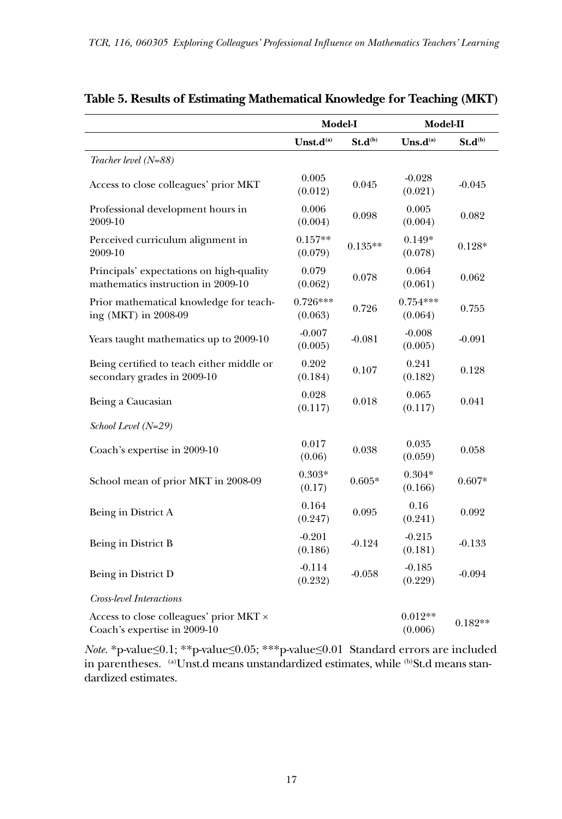|                                                                                |                       | Model-I      | Model-II              |              |
|--------------------------------------------------------------------------------|-----------------------|--------------|-----------------------|--------------|
|                                                                                | Unst.d <sup>(a)</sup> | $St.d^{(b)}$ | $U$ ns.d $^{(a)}$     | $St.d^{(b)}$ |
| Teacher level (N=88)                                                           |                       |              |                       |              |
| Access to close colleagues' prior MKT                                          | 0.005<br>(0.012)      | 0.045        | $-0.028$<br>(0.021)   | $-0.045$     |
| Professional development hours in<br>2009-10                                   | 0.006<br>(0.004)      | 0.098        | 0.005<br>(0.004)      | 0.082        |
| Perceived curriculum alignment in<br>2009-10                                   | $0.157**$<br>(0.079)  | $0.135**$    | $0.149*$<br>(0.078)   | $0.128*$     |
| Principals' expectations on high-quality<br>mathematics instruction in 2009-10 | 0.079<br>(0.062)      | 0.078        | 0.064<br>(0.061)      | 0.062        |
| Prior mathematical knowledge for teach-<br>ing (MKT) in 2008-09                | $0.726***$<br>(0.063) | 0.726        | $0.754***$<br>(0.064) | 0.755        |
| Years taught mathematics up to 2009-10                                         | $-0.007$<br>(0.005)   | $-0.081$     | $-0.008$<br>(0.005)   | $-0.091$     |
| Being certified to teach either middle or<br>secondary grades in 2009-10       | 0.202<br>(0.184)      | 0.107        | 0.241<br>(0.182)      | 0.128        |
| Being a Caucasian                                                              | 0.028<br>(0.117)      | 0.018        | 0.065<br>(0.117)      | 0.041        |
| School Level (N=29)                                                            |                       |              |                       |              |
| Coach's expertise in 2009-10                                                   | 0.017<br>(0.06)       | 0.038        | 0.035<br>(0.059)      | 0.058        |
| School mean of prior MKT in 2008-09                                            | $0.303*$<br>(0.17)    | $0.605*$     | $0.304*$<br>(0.166)   | $0.607*$     |
| Being in District A                                                            | 0.164<br>(0.247)      | 0.095        | 0.16<br>(0.241)       | 0.092        |
| Being in District B                                                            | $-0.201$<br>(0.186)   | $-0.124$     | $-0.215$<br>(0.181)   | $-0.133$     |
| Being in District D                                                            | $-0.114$<br>(0.232)   | $-0.058$     | $-0.185$<br>(0.229)   | $-0.094$     |
| Cross-level Interactions                                                       |                       |              |                       |              |
| Access to close colleagues' prior MKT ×<br>Coach's expertise in 2009-10        |                       |              | $0.012**$<br>(0.006)  | $0.182**$    |

# **Table 5. Results of Estimating Mathematical Knowledge for Teaching (MKT)**

*Note.* \*p-value≤0.1; \*\*p-value≤0.05; \*\*\*p-value≤0.01 Standard errors are included in parentheses. (a)Unst.d means unstandardized estimates, while (b)St.d means standardized estimates.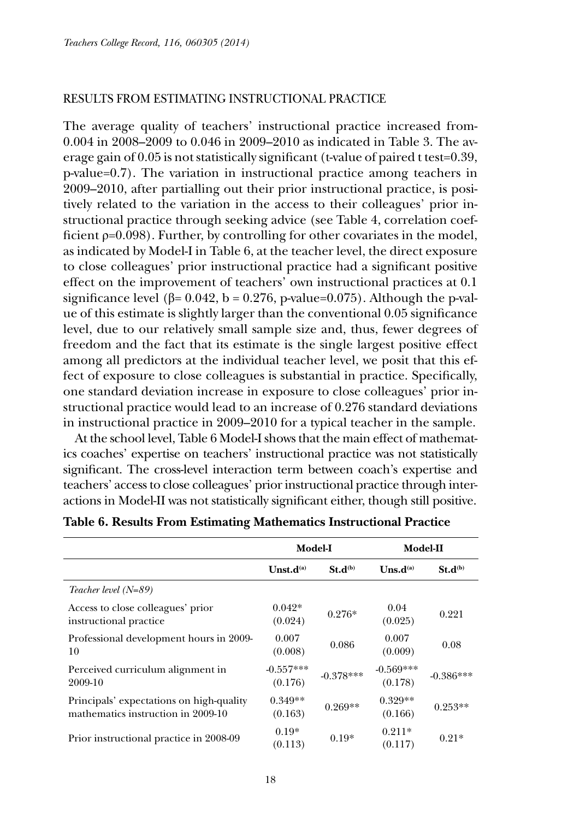### RESULTS FROM ESTIMATING INSTRUCTIONAL PRACTICE

The average quality of teachers' instructional practice increased from-0.004 in 2008–2009 to 0.046 in 2009–2010 as indicated in Table 3. The average gain of 0.05 is not statistically significant (t-value of paired t test=0.39, p-value=0.7). The variation in instructional practice among teachers in 2009–2010, after partialling out their prior instructional practice, is positively related to the variation in the access to their colleagues' prior instructional practice through seeking advice (see Table 4, correlation coefficient  $p=0.098$ ). Further, by controlling for other covariates in the model, as indicated by Model-I in Table 6, at the teacher level, the direct exposure to close colleagues' prior instructional practice had a significant positive effect on the improvement of teachers' own instructional practices at 0.1 significance level ( $\beta$ = 0.042, b = 0.276, p-value=0.075). Although the p-value of this estimate is slightly larger than the conventional 0.05 significance level, due to our relatively small sample size and, thus, fewer degrees of freedom and the fact that its estimate is the single largest positive effect among all predictors at the individual teacher level, we posit that this effect of exposure to close colleagues is substantial in practice. Specifically, one standard deviation increase in exposure to close colleagues' prior instructional practice would lead to an increase of 0.276 standard deviations in instructional practice in 2009–2010 for a typical teacher in the sample.

At the school level, Table 6 Model-I shows that the main effect of mathematics coaches' expertise on teachers' instructional practice was not statistically significant. The cross-level interaction term between coach's expertise and teachers' access to close colleagues' prior instructional practice through interactions in Model-II was not statistically significant either, though still positive.

|                                                                                | Model-I                |              | Model-II                         |              |
|--------------------------------------------------------------------------------|------------------------|--------------|----------------------------------|--------------|
|                                                                                | Unst.d <sup>(a)</sup>  | $St.d^{(b)}$ | $\mathbf{U}$ ns.d <sup>(a)</sup> | $St.d^{(b)}$ |
| Teacher level $(N=89)$                                                         |                        |              |                                  |              |
| Access to close colleagues' prior<br>instructional practice                    | $0.042*$<br>(0.024)    | $0.276*$     | 0.04<br>(0.025)                  | 0.221        |
| Professional development hours in 2009-<br>10                                  | 0.007<br>(0.008)       | 0.086        | 0.007<br>(0.009)                 | 0.08         |
| Perceived curriculum alignment in<br>2009-10                                   | $-0.557***$<br>(0.176) | $-0.378***$  | $-0.569***$<br>(0.178)           | $-0.386***$  |
| Principals' expectations on high-quality<br>mathematics instruction in 2009-10 | $0.349**$<br>(0.163)   | $0.269**$    | $0.329**$<br>(0.166)             | $0.253**$    |
| Prior instructional practice in 2008-09                                        | $0.19*$<br>(0.113)     | $0.19*$      | $0.211*$<br>(0.117)              | $0.21*$      |

### **Table 6. Results From Estimating Mathematics Instructional Practice**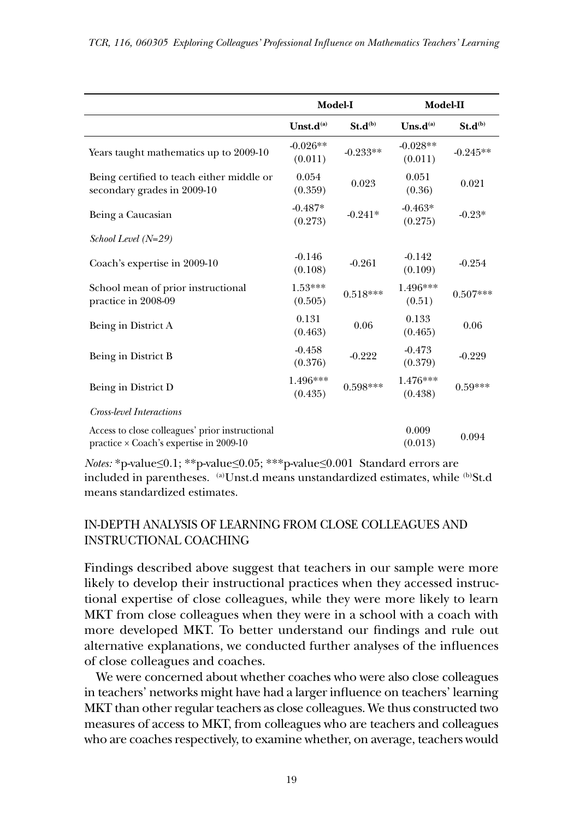|                                                                                                   | Model-I                           |              | Model-II                   |              |
|---------------------------------------------------------------------------------------------------|-----------------------------------|--------------|----------------------------|--------------|
|                                                                                                   | Unst.d <sup>(a)</sup>             | $St.d^{(b)}$ | $\mathbf{U}$ ns.d $^{(a)}$ | $St.d^{(b)}$ |
| Years taught mathematics up to 2009-10                                                            | $-0.026**$<br>(0.011)             | $-0.233**$   | $-0.028**$<br>(0.011)      | $-0.245**$   |
| Being certified to teach either middle or<br>secondary grades in 2009-10                          | 0.054<br>(0.359)                  | 0.023        | 0.051<br>(0.36)            | 0.021        |
| Being a Caucasian                                                                                 | $-0.487*$<br>(0.273)              | $-0.241*$    |                            | $-0.23*$     |
| $School Level (N=29)$                                                                             |                                   |              |                            |              |
| Coach's expertise in 2009-10                                                                      | $-0.146$<br>(0.108)               | $-0.261$     | $-0.142$<br>(0.109)        | $-0.254$     |
| School mean of prior instructional<br>practice in 2008-09                                         | $1.53***$<br>(0.505)              | $0.518***$   | 1.496***<br>(0.51)         | $0.507***$   |
| Being in District A                                                                               | 0.131<br>(0.463)                  | 0.06         | 0.133<br>(0.465)           | 0.06         |
| Being in District B                                                                               | $-0.458$<br>(0.376)               | $-0.222$     | $-0.473$<br>(0.379)        | $-0.229$     |
| Being in District D                                                                               | 1.496***<br>$0.598***$<br>(0.435) |              | 1.476***<br>(0.438)        | $0.59***$    |
| Cross-level Interactions                                                                          |                                   |              |                            |              |
| Access to close colleagues' prior instructional<br>practice $\times$ Coach's expertise in 2009-10 |                                   |              | 0.009<br>(0.013)           | 0.094        |

*Notes:* \*p-value≤0.1; \*\*p-value≤0.05; \*\*\*p-value≤0.001 Standard errors are included in parentheses. (a)Unst.d means unstandardized estimates, while (b)St.d means standardized estimates.

# IN-DEPTH ANALYSIS OF LEARNING FROM CLOSE COLLEAGUES AND INSTRUCTIONAL COACHING

Findings described above suggest that teachers in our sample were more likely to develop their instructional practices when they accessed instructional expertise of close colleagues, while they were more likely to learn MKT from close colleagues when they were in a school with a coach with more developed MKT. To better understand our findings and rule out alternative explanations, we conducted further analyses of the influences of close colleagues and coaches.

We were concerned about whether coaches who were also close colleagues in teachers' networks might have had a larger influence on teachers' learning MKT than other regular teachers as close colleagues. We thus constructed two measures of access to MKT, from colleagues who are teachers and colleagues who are coaches respectively, to examine whether, on average, teachers would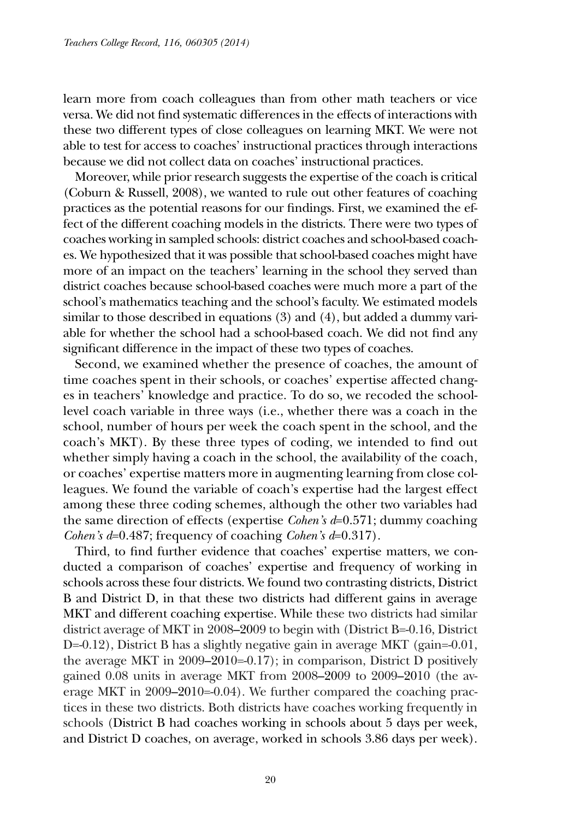learn more from coach colleagues than from other math teachers or vice versa. We did not find systematic differences in the effects of interactions with these two different types of close colleagues on learning MKT. We were not able to test for access to coaches' instructional practices through interactions because we did not collect data on coaches' instructional practices.

Moreover, while prior research suggests the expertise of the coach is critical (Coburn & Russell, 2008), we wanted to rule out other features of coaching practices as the potential reasons for our findings. First, we examined the effect of the different coaching models in the districts. There were two types of coaches working in sampled schools: district coaches and school-based coaches. We hypothesized that it was possible that school-based coaches might have more of an impact on the teachers' learning in the school they served than district coaches because school-based coaches were much more a part of the school's mathematics teaching and the school's faculty. We estimated models similar to those described in equations (3) and (4), but added a dummy variable for whether the school had a school-based coach. We did not find any significant difference in the impact of these two types of coaches.

Second, we examined whether the presence of coaches, the amount of time coaches spent in their schools, or coaches' expertise affected changes in teachers' knowledge and practice. To do so, we recoded the schoollevel coach variable in three ways (i.e., whether there was a coach in the school, number of hours per week the coach spent in the school, and the coach's MKT). By these three types of coding, we intended to find out whether simply having a coach in the school, the availability of the coach, or coaches' expertise matters more in augmenting learning from close colleagues. We found the variable of coach's expertise had the largest effect among these three coding schemes, although the other two variables had the same direction of effects (expertise *Cohen's d*=0.571; dummy coaching *Cohen's d*=0.487; frequency of coaching *Cohen's d*=0.317).

Third, to find further evidence that coaches' expertise matters, we conducted a comparison of coaches' expertise and frequency of working in schools across these four districts. We found two contrasting districts, District B and District D, in that these two districts had different gains in average MKT and different coaching expertise. While these two districts had similar district average of MKT in 2008–2009 to begin with (District B=-0.16, District D=-0.12), District B has a slightly negative gain in average MKT (gain=-0.01, the average MKT in  $2009-2010=0.17$ ; in comparison, District D positively gained 0.08 units in average MKT from 2008–2009 to 2009–2010 (the average MKT in 2009–2010=-0.04). We further compared the coaching practices in these two districts. Both districts have coaches working frequently in schools (District B had coaches working in schools about 5 days per week, and District D coaches, on average, worked in schools 3.86 days per week).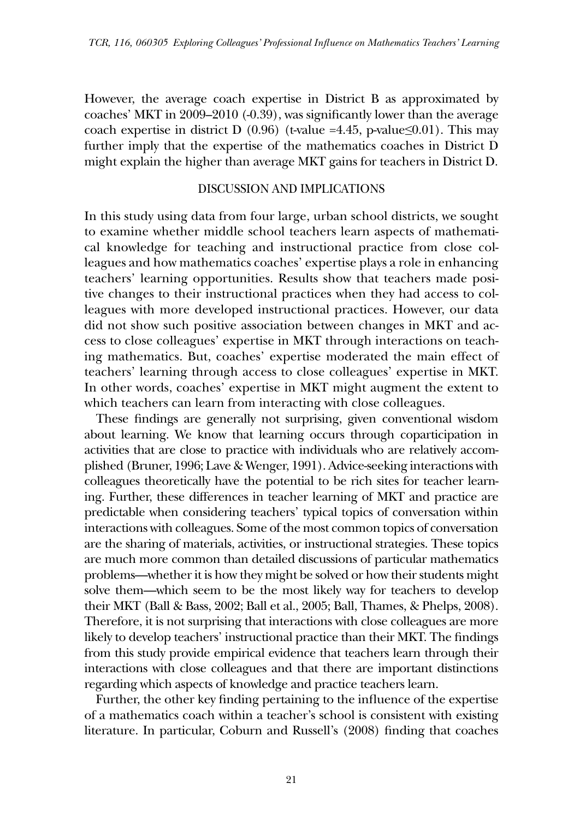However, the average coach expertise in District B as approximated by coaches' MKT in 2009–2010 (-0.39), was significantly lower than the average coach expertise in district D (0.96) (t-value =4.45, p-value  $\leq 0.01$ ). This may further imply that the expertise of the mathematics coaches in District D might explain the higher than average MKT gains for teachers in District D.

### DISCUSSION AND IMPLICATIONS

In this study using data from four large, urban school districts, we sought to examine whether middle school teachers learn aspects of mathematical knowledge for teaching and instructional practice from close colleagues and how mathematics coaches' expertise plays a role in enhancing teachers' learning opportunities. Results show that teachers made positive changes to their instructional practices when they had access to colleagues with more developed instructional practices. However, our data did not show such positive association between changes in MKT and access to close colleagues' expertise in MKT through interactions on teaching mathematics. But, coaches' expertise moderated the main effect of teachers' learning through access to close colleagues' expertise in MKT. In other words, coaches' expertise in MKT might augment the extent to which teachers can learn from interacting with close colleagues.

These findings are generally not surprising, given conventional wisdom about learning. We know that learning occurs through coparticipation in activities that are close to practice with individuals who are relatively accomplished (Bruner, 1996; Lave & Wenger, 1991). Advice-seeking interactions with colleagues theoretically have the potential to be rich sites for teacher learning. Further, these differences in teacher learning of MKT and practice are predictable when considering teachers' typical topics of conversation within interactions with colleagues. Some of the most common topics of conversation are the sharing of materials, activities, or instructional strategies. These topics are much more common than detailed discussions of particular mathematics problems—whether it is how they might be solved or how their students might solve them—which seem to be the most likely way for teachers to develop their MKT (Ball & Bass, 2002; Ball et al., 2005; Ball, Thames, & Phelps, 2008). Therefore, it is not surprising that interactions with close colleagues are more likely to develop teachers' instructional practice than their MKT. The findings from this study provide empirical evidence that teachers learn through their interactions with close colleagues and that there are important distinctions regarding which aspects of knowledge and practice teachers learn.

Further, the other key finding pertaining to the influence of the expertise of a mathematics coach within a teacher's school is consistent with existing literature. In particular, Coburn and Russell's (2008) finding that coaches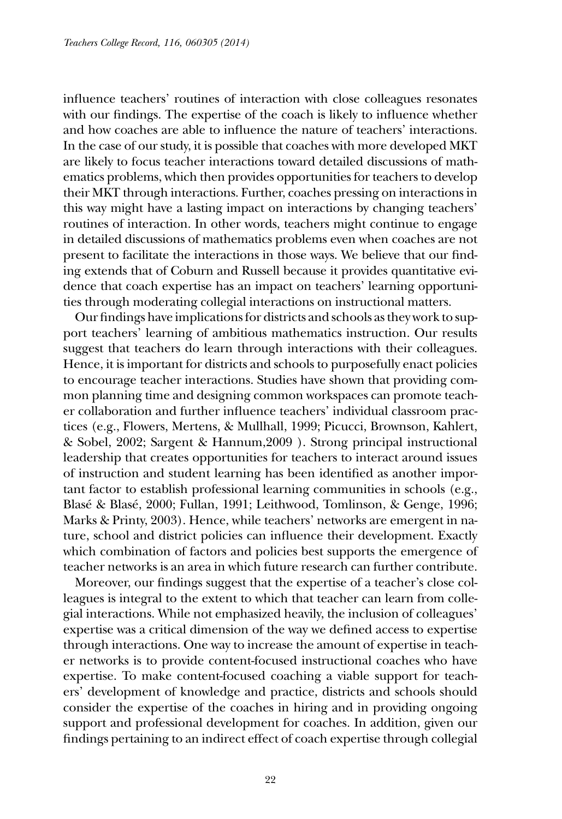influence teachers' routines of interaction with close colleagues resonates with our findings. The expertise of the coach is likely to influence whether and how coaches are able to influence the nature of teachers' interactions. In the case of our study, it is possible that coaches with more developed MKT are likely to focus teacher interactions toward detailed discussions of mathematics problems, which then provides opportunities for teachers to develop their MKT through interactions. Further, coaches pressing on interactions in this way might have a lasting impact on interactions by changing teachers' routines of interaction. In other words, teachers might continue to engage in detailed discussions of mathematics problems even when coaches are not present to facilitate the interactions in those ways. We believe that our finding extends that of Coburn and Russell because it provides quantitative evidence that coach expertise has an impact on teachers' learning opportunities through moderating collegial interactions on instructional matters.

Our findings have implications for districts and schools as they work to support teachers' learning of ambitious mathematics instruction. Our results suggest that teachers do learn through interactions with their colleagues. Hence, it is important for districts and schools to purposefully enact policies to encourage teacher interactions. Studies have shown that providing common planning time and designing common workspaces can promote teacher collaboration and further influence teachers' individual classroom practices (e.g., Flowers, Mertens, & Mullhall, 1999; Picucci, Brownson, Kahlert, & Sobel, 2002; Sargent & Hannum,2009 ). Strong principal instructional leadership that creates opportunities for teachers to interact around issues of instruction and student learning has been identified as another important factor to establish professional learning communities in schools (e.g., Blasé & Blasé, 2000; Fullan, 1991; Leithwood, Tomlinson, & Genge, 1996; Marks & Printy, 2003). Hence, while teachers' networks are emergent in nature, school and district policies can influence their development. Exactly which combination of factors and policies best supports the emergence of teacher networks is an area in which future research can further contribute.

Moreover, our findings suggest that the expertise of a teacher's close colleagues is integral to the extent to which that teacher can learn from collegial interactions. While not emphasized heavily, the inclusion of colleagues' expertise was a critical dimension of the way we defined access to expertise through interactions. One way to increase the amount of expertise in teacher networks is to provide content-focused instructional coaches who have expertise. To make content-focused coaching a viable support for teachers' development of knowledge and practice, districts and schools should consider the expertise of the coaches in hiring and in providing ongoing support and professional development for coaches. In addition, given our findings pertaining to an indirect effect of coach expertise through collegial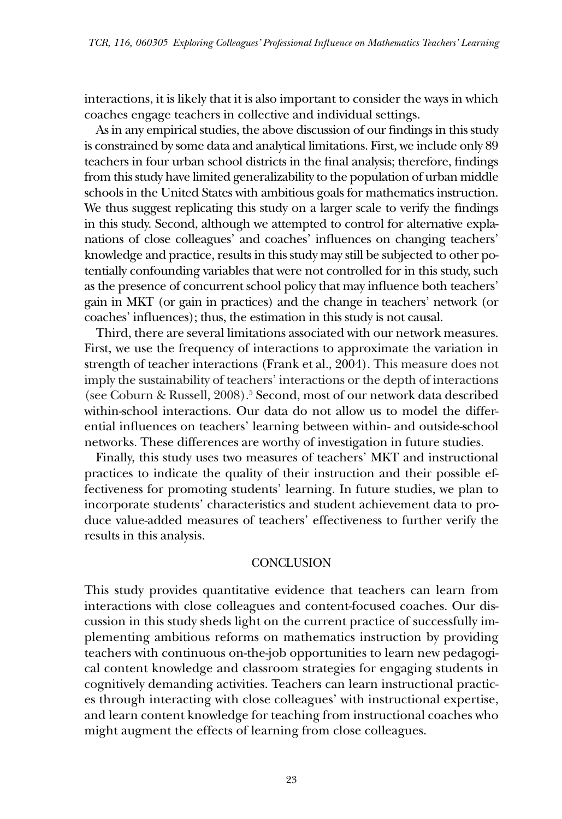interactions, it is likely that it is also important to consider the ways in which coaches engage teachers in collective and individual settings.

As in any empirical studies, the above discussion of our findings in this study is constrained by some data and analytical limitations. First, we include only 89 teachers in four urban school districts in the final analysis; therefore, findings from this study have limited generalizability to the population of urban middle schools in the United States with ambitious goals for mathematics instruction. We thus suggest replicating this study on a larger scale to verify the findings in this study. Second, although we attempted to control for alternative explanations of close colleagues' and coaches' influences on changing teachers' knowledge and practice, results in this study may still be subjected to other potentially confounding variables that were not controlled for in this study, such as the presence of concurrent school policy that may influence both teachers' gain in MKT (or gain in practices) and the change in teachers' network (or coaches' influences); thus, the estimation in this study is not causal.

Third, there are several limitations associated with our network measures. First, we use the frequency of interactions to approximate the variation in strength of teacher interactions (Frank et al., 2004). This measure does not imply the sustainability of teachers' interactions or the depth of interactions (see Coburn & Russell, 2008).5 Second, most of our network data described within-school interactions. Our data do not allow us to model the differential influences on teachers' learning between within- and outside-school networks. These differences are worthy of investigation in future studies.

Finally, this study uses two measures of teachers' MKT and instructional practices to indicate the quality of their instruction and their possible effectiveness for promoting students' learning. In future studies, we plan to incorporate students' characteristics and student achievement data to produce value-added measures of teachers' effectiveness to further verify the results in this analysis.

### **CONCLUSION**

This study provides quantitative evidence that teachers can learn from interactions with close colleagues and content-focused coaches. Our discussion in this study sheds light on the current practice of successfully implementing ambitious reforms on mathematics instruction by providing teachers with continuous on-the-job opportunities to learn new pedagogical content knowledge and classroom strategies for engaging students in cognitively demanding activities. Teachers can learn instructional practices through interacting with close colleagues' with instructional expertise, and learn content knowledge for teaching from instructional coaches who might augment the effects of learning from close colleagues.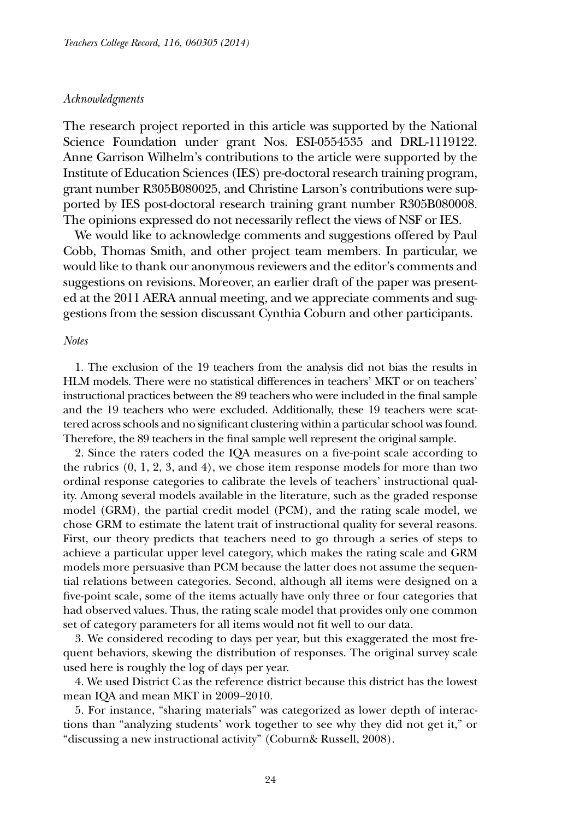#### *Acknowledgments*

The research project reported in this article was supported by the National Science Foundation under grant Nos. ESI-0554535 and DRL-1119122. Anne Garrison Wilhelm's contributions to the article were supported by the Institute of Education Sciences (IES) pre-doctoral research training program, grant number R305B080025, and Christine Larson's contributions were supported by IES post-doctoral research training grant number R305B080008. The opinions expressed do not necessarily reflect the views of NSF or IES.

We would like to acknowledge comments and suggestions offered by Paul Cobb, Thomas Smith, and other project team members. In particular, we would like to thank our anonymous reviewers and the editor's comments and suggestions on revisions. Moreover, an earlier draft of the paper was presented at the 2011 AERA annual meeting, and we appreciate comments and suggestions from the session discussant Cynthia Coburn and other participants.

#### *Notes*

1. The exclusion of the 19 teachers from the analysis did not bias the results in HLM models. There were no statistical differences in teachers' MKT or on teachers' instructional practices between the 89 teachers who were included in the final sample and the 19 teachers who were excluded. Additionally, these 19 teachers were scattered across schools and no significant clustering within a particular school was found. Therefore, the 89 teachers in the final sample well represent the original sample.

2. Since the raters coded the IQA measures on a five-point scale according to the rubrics (0, 1, 2, 3, and 4), we chose item response models for more than two ordinal response categories to calibrate the levels of teachers' instructional quality. Among several models available in the literature, such as the graded response model (GRM), the partial credit model (PCM), and the rating scale model, we chose GRM to estimate the latent trait of instructional quality for several reasons. First, our theory predicts that teachers need to go through a series of steps to achieve a particular upper level category, which makes the rating scale and GRM models more persuasive than PCM because the latter does not assume the sequential relations between categories. Second, although all items were designed on a five-point scale, some of the items actually have only three or four categories that had observed values. Thus, the rating scale model that provides only one common set of category parameters for all items would not fit well to our data.

3. We considered recoding to days per year, but this exaggerated the most frequent behaviors, skewing the distribution of responses. The original survey scale used here is roughly the log of days per year.

4. We used District C as the reference district because this district has the lowest mean IQA and mean MKT in 2009–2010.

5. For instance, "sharing materials" was categorized as lower depth of interactions than "analyzing students' work together to see why they did not get it," or "discussing a new instructional activity" (Coburn& Russell, 2008).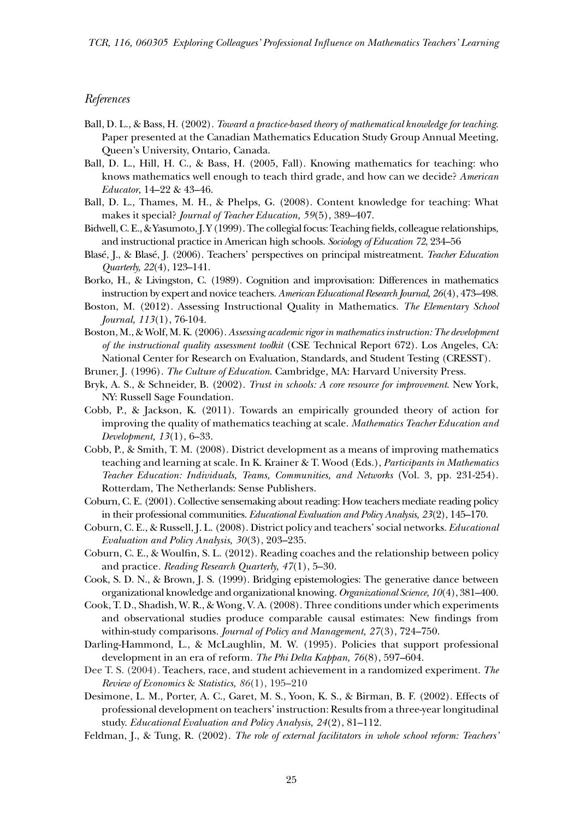#### *References*

- Ball, D. L., & Bass, H. (2002). *Toward a practice-based theory of mathematical knowledge for teaching*. Paper presented at the Canadian Mathematics Education Study Group Annual Meeting, Queen's University, Ontario, Canada.
- Ball, D. L., Hill, H. C., & Bass, H. (2005, Fall). Knowing mathematics for teaching: who knows mathematics well enough to teach third grade, and how can we decide? *American Educator*, 14–22 & 43–46.
- Ball, D. L., Thames, M. H., & Phelps, G. (2008). Content knowledge for teaching: What makes it special? *Journal of Teacher Education, 59*(5), 389–407.
- Bidwell, C. E., & Yasumoto, J. Y (1999). The collegial focus: Teaching fields, colleague relationships, and instructional practice in American high schools. *Sociology of Education 72*, 234–56
- Blasé, J., & Blasé, J. (2006). Teachers' perspectives on principal mistreatment. *Teacher Education Quarterly, 22*(4), 123–141.
- Borko, H., & Livingston, C. (1989). Cognition and improvisation: Differences in mathematics instruction by expert and novice teachers. *American Educational Research Journal, 26*(4), 473–498.
- Boston, M. (2012). Assessing Instructional Quality in Mathematics. *The Elementary School Journal, 113*(1), 76-104.
- Boston, M., & Wolf, M. K. (2006). *Assessing academic rigor in mathematics instruction: The development of the instructional quality assessment toolkit* (CSE Technical Report 672). Los Angeles, CA: National Center for Research on Evaluation, Standards, and Student Testing (CRESST).
- Bruner, J. (1996). *The Culture of Education*. Cambridge, MA: Harvard University Press.
- Bryk, A. S., & Schneider, B. (2002). *Trust in schools: A core resource for improvement*. New York, NY: Russell Sage Foundation.
- Cobb, P., & Jackson, K. (2011). Towards an empirically grounded theory of action for improving the quality of mathematics teaching at scale. *Mathematics Teacher Education and Development, 13*(1), 6–33.
- Cobb, P., & Smith, T. M. (2008). District development as a means of improving mathematics teaching and learning at scale. In K. Krainer & T. Wood (Eds.), *Participants in Mathematics Teacher Education: Individuals, Teams, Communities, and Networks* (Vol. 3, pp. 231-254). Rotterdam, The Netherlands: Sense Publishers.
- Coburn, C. E. (2001). Collective sensemaking about reading: How teachers mediate reading policy in their professional communities. *Educational Evaluation and Policy Analysis, 23*(2), 145–170.
- Coburn, C. E., & Russell, J. L. (2008). District policy and teachers' social networks. *Educational Evaluation and Policy Analysis, 30*(3), 203–235.
- Coburn, C. E., & Woulfin, S. L. (2012). Reading coaches and the relationship between policy and practice*. Reading Research Quarterly, 47*(1), 5–30.
- Cook, S. D. N., & Brown, J. S. (1999). Bridging epistemologies: The generative dance between organizational knowledge and organizational knowing. *Organizational Science, 10*(4), 381–400.
- Cook, T. D., Shadish, W. R., & Wong, V. A. (2008). Three conditions under which experiments and observational studies produce comparable causal estimates: New findings from within-study comparisons. *Journal of Policy and Management, 27*(3), 724–750.
- Darling-Hammond, L., & McLaughlin, M. W. (1995). Policies that support professional development in an era of reform. *The Phi Delta Kappan, 76*(8), 597–604.
- Dee T. S. (2004). Teachers, race, and student achievement in a randomized experiment. *The Review of Economics* & *Statistics, 86*(1), 195–210
- Desimone, L. M., Porter, A. C., Garet, M. S., Yoon, K. S., & Birman, B. F. (2002). Effects of professional development on teachers' instruction: Results from a three-year longitudinal study. *Educational Evaluation and Policy Analysis, 24*(2), 81–112.
- Feldman, J., & Tung, R. (2002). *The role of external facilitators in whole school reform: Teachers'*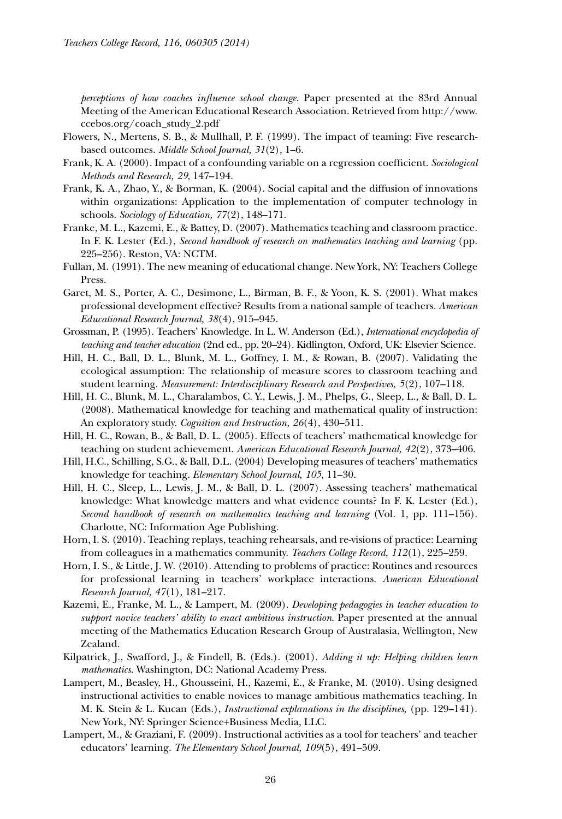*perceptions of how coaches influence school change.* Paper presented at the 83rd Annual Meeting of the American Educational Research Association. Retrieved from http://www. ccebos.org/coach\_study\_2.pdf

- Flowers, N., Mertens, S. B., & Mullhall, P. F. (1999). The impact of teaming: Five researchbased outcomes. *Middle School Journal, 31*(2), 1–6.
- Frank, K. A. (2000). Impact of a confounding variable on a regression coefficient. *Sociological Methods and Research, 29*, 147–194.
- Frank, K. A., Zhao, Y., & Borman, K. (2004). Social capital and the diffusion of innovations within organizations: Application to the implementation of computer technology in schools. *Sociology of Education, 77*(2), 148–171.
- Franke, M. L., Kazemi, E., & Battey, D. (2007). Mathematics teaching and classroom practice. In F. K. Lester (Ed.), *Second handbook of research on mathematics teaching and learning* (pp. 225–256). Reston, VA: NCTM.
- Fullan, M. (1991). The new meaning of educational change. New York, NY: Teachers College Press.
- Garet, M. S., Porter, A. C., Desimone, L., Birman, B. F., & Yoon, K. S. (2001). What makes professional development effective? Results from a national sample of teachers. *American Educational Research Journal, 38*(4), 915–945.
- Grossman, P. (1995). Teachers' Knowledge. In L. W. Anderson (Ed.), *International encyclopedia of teaching and teacher education* (2nd ed., pp. 20–24). Kidlington, Oxford, UK: Elsevier Science.
- Hill, H. C., Ball, D. L., Blunk, M. L., Goffney, I. M., & Rowan, B. (2007). Validating the ecological assumption: The relationship of measure scores to classroom teaching and student learning. *Measurement: Interdisciplinary Research and Perspectives, 5*(2), 107–118.
- Hill, H. C., Blunk, M. L., Charalambos, C. Y., Lewis, J. M., Phelps, G., Sleep, L., & Ball, D. L. (2008). Mathematical knowledge for teaching and mathematical quality of instruction: An exploratory study. *Cognition and Instruction, 26*(4), 430–511.
- Hill, H. C., Rowan, B., & Ball, D. L. (2005). Effects of teachers' mathematical knowledge for teaching on student achievement. *American Educational Research Journal, 42*(2), 373–406.
- Hill, H.C., Schilling, S.G., & Ball, D.L. (2004) Developing measures of teachers' mathematics knowledge for teaching. *Elementary School Journal, 105*, 11–30.
- Hill, H. C., Sleep, L., Lewis, J. M., & Ball, D. L. (2007). Assessing teachers' mathematical knowledge: What knowledge matters and what evidence counts? In F. K. Lester (Ed.), *Second handbook of research on mathematics teaching and learning* (Vol. 1, pp. 111–156). Charlotte, NC: Information Age Publishing.
- Horn, I. S. (2010). Teaching replays, teaching rehearsals, and re-visions of practice: Learning from colleagues in a mathematics community. *Teachers College Record, 112*(1), 225–259.
- Horn, I. S., & Little, J. W. (2010). Attending to problems of practice: Routines and resources for professional learning in teachers' workplace interactions. *American Educational Research Journal, 47*(1), 181–217.
- Kazemi, E., Franke, M. L., & Lampert, M. (2009). *Developing pedagogies in teacher education to support novice teachers' ability to enact ambitious instruction*. Paper presented at the annual meeting of the Mathematics Education Research Group of Australasia, Wellington, New Zealand.
- Kilpatrick, J., Swafford, J., & Findell, B. (Eds.). (2001). *Adding it up: Helping children learn mathematics*. Washington, DC: National Academy Press.
- Lampert, M., Beasley, H., Ghousseini, H., Kazemi, E., & Franke, M. (2010). Using designed instructional activities to enable novices to manage ambitious mathematics teaching. In M. K. Stein & L. Kucan (Eds.), *Instructional explanations in the disciplines,* (pp. 129–141). New York, NY: Springer Science+Business Media, LLC.
- Lampert, M., & Graziani, F. (2009). Instructional activities as a tool for teachers' and teacher educators' learning. *The Elementary School Journal, 109*(5), 491–509.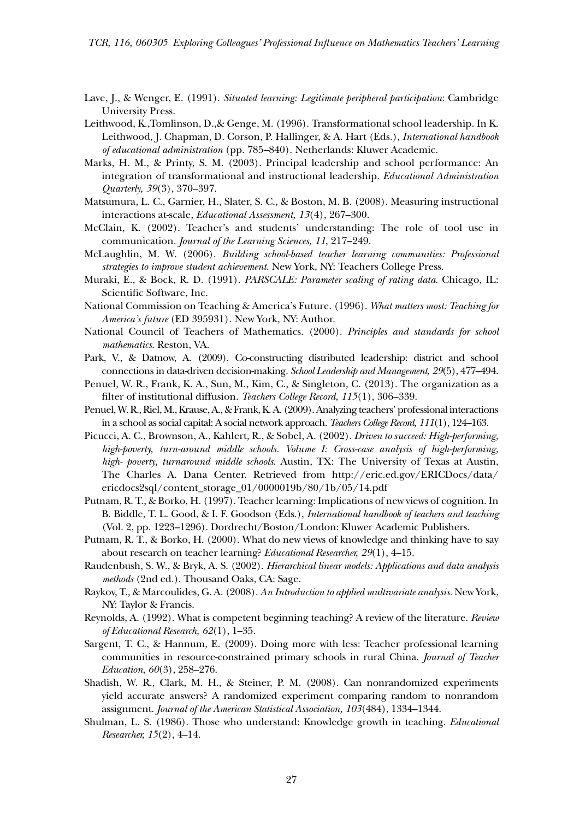- Lave, J., & Wenger, E. (1991). *Situated learning: Legitimate peripheral participation*: Cambridge University Press.
- Leithwood, K.,Tomlinson, D.,& Genge, M. (1996). Transformational school leadership. In K. Leithwood, J. Chapman, D. Corson, P. Hallinger, & A. Hart (Eds.), *International handbook of educational administration* (pp. 785–840). Netherlands: Kluwer Academic.
- Marks, H. M., & Printy, S. M. (2003). Principal leadership and school performance: An integration of transformational and instructional leadership. *Educational Administration Quarterly, 39*(3), 370–397.
- Matsumura, L. C., Garnier, H., Slater, S. C., & Boston, M. B. (2008). Measuring instructional interactions at-scale*, Educational Assessment, 13*(4), 267–300.
- McClain, K. (2002). Teacher's and students' understanding: The role of tool use in communication. *Journal of the Learning Sciences, 11*, 217–249.
- McLaughlin, M. W. (2006). *Building school-based teacher learning communities: Professional strategies to improve student achievement*. New York, NY: Teachers College Press.
- Muraki, E., & Bock, R. D. (1991). *PARSCALE: Parameter scaling of rating data*. Chicago, IL: Scientific Software, Inc.
- National Commission on Teaching & America's Future. (1996). *What matters most: Teaching for America's future* (ED 395931)*.* New York, NY: Author.
- National Council of Teachers of Mathematics. (2000). *Principles and standards for school mathematics*. Reston, VA.
- Park, V., & Datnow, A. (2009). Co-constructing distributed leadership: district and school connections in data-driven decision-making. *School Leadership and Management, 29*(5), 477–494.
- Penuel, W. R., Frank, K. A., Sun, M., Kim, C., & Singleton, C. (2013). The organization as a filter of institutional diffusion. *Teachers College Record*, *115*(1), 306–339.
- Penuel, W. R., Riel, M., Krause, A., & Frank, K. A. (2009). Analyzing teachers' professional interactions in a school as social capital: A social network approach. *Teachers College Record, 111*(1), 124–163.
- Picucci, A. C., Brownson, A., Kahlert, R., & Sobel, A. (2002). *Driven to succeed: High-performing, high-poverty, turn-around middle schools. Volume I: Cross-case analysis of high-performing, high- poverty, turnaround middle schools*. Austin, TX: The University of Texas at Austin, The Charles A. Dana Center. Retrieved from http://eric.ed.gov/ERICDocs/data/ ericdocs2sql/content\_storage\_01/0000019b/80/1b/05/14.pdf
- Putnam, R. T., & Borko, H. (1997). Teacher learning: Implications of new views of cognition. In B. Biddle, T. L. Good, & I. F. Goodson (Eds.), *International handbook of teachers and teaching* (Vol. 2, pp. 1223–1296). Dordrecht/Boston/London: Kluwer Academic Publishers.
- Putnam, R. T., & Borko, H. (2000). What do new views of knowledge and thinking have to say about research on teacher learning? *Educational Researcher, 29*(1), 4–15.
- Raudenbush, S. W., & Bryk, A. S. (2002). *Hierarchical linear models: Applications and data analysis methods* (2nd ed.). Thousand Oaks, CA: Sage.
- Raykov, T., & Marcoulides, G. A. (2008). *An Introduction to applied multivariate analysis.* New York, NY: Taylor & Francis.
- Reynolds, A. (1992). What is competent beginning teaching? A review of the literature. *Review of Educational Research, 62*(1), 1–35.
- Sargent, T. C., & Hannum, E. (2009). Doing more with less: Teacher professional learning communities in resource-constrained primary schools in rural China. *Journal of Teacher Education*, *60*(3), 258–276.
- Shadish, W. R., Clark, M. H., & Steiner, P. M. (2008). Can nonrandomized experiments yield accurate answers? A randomized experiment comparing random to nonrandom assignment. *Journal of the American Statistical Association, 103*(484), 1334–1344.
- Shulman, L. S. (1986). Those who understand: Knowledge growth in teaching. *Educational Researcher, 15*(2), 4–14.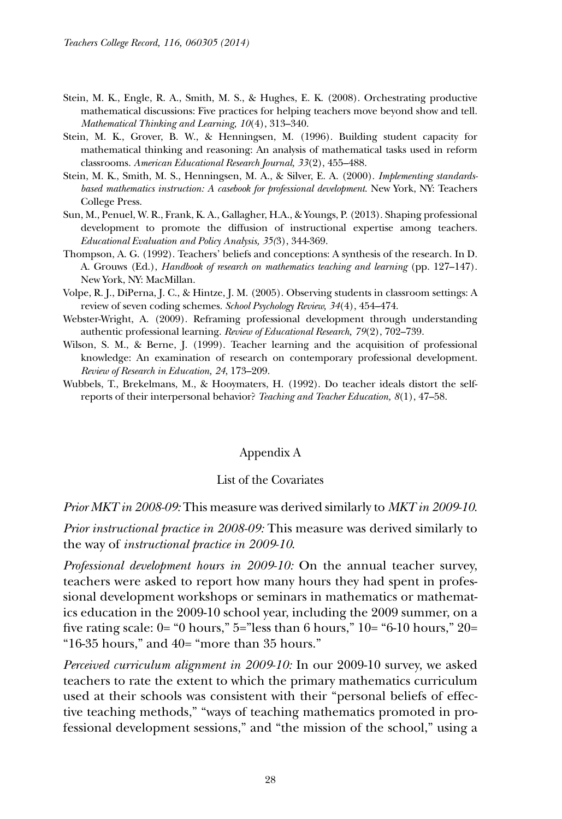- Stein, M. K., Engle, R. A., Smith, M. S., & Hughes, E. K. (2008). Orchestrating productive mathematical discussions: Five practices for helping teachers move beyond show and tell. *Mathematical Thinking and Learning, 10*(4), 313–340.
- Stein, M. K., Grover, B. W., & Henningsen, M. (1996). Building student capacity for mathematical thinking and reasoning: An analysis of mathematical tasks used in reform classrooms. *American Educational Research Journal, 33*(2), 455–488.
- Stein, M. K., Smith, M. S., Henningsen, M. A., & Silver, E. A. (2000). *Implementing standardsbased mathematics instruction: A casebook for professional development*. New York, NY: Teachers College Press.
- Sun, M., Penuel, W. R., Frank, K. A., Gallagher, H.A., & Youngs, P. (2013). Shaping professional development to promote the diffusion of instructional expertise among teachers. *Educational Evaluation and Policy Analysis, 35(*3), 344-369.
- Thompson, A. G. (1992). Teachers' beliefs and conceptions: A synthesis of the research. In D. A. Grouws (Ed.), *Handbook of research on mathematics teaching and learning* (pp. 127–147). New York, NY: MacMillan.
- Volpe, R. J., DiPerna, J. C., & Hintze, J. M. (2005). Observing students in classroom settings: A review of seven coding schemes. *School Psychology Review, 34*(4), 454–474.
- Webster-Wright, A. (2009). Reframing professional development through understanding authentic professional learning. *Review of Educational Research, 79*(2), 702–739.
- Wilson, S. M., & Berne, J. (1999). Teacher learning and the acquisition of professional knowledge: An examination of research on contemporary professional development. *Review of Research in Education, 24*, 173–209.
- Wubbels, T., Brekelmans, M., & Hooymaters, H. (1992). Do teacher ideals distort the selfreports of their interpersonal behavior? *Teaching and Teacher Education, 8*(1), 47–58.

### Appendix A

### List of the Covariates

#### *Prior MKT in 2008-09:* This measure was derived similarly to *MKT in 2009-10*.

*Prior instructional practice in 2008-09:* This measure was derived similarly to the way of *instructional practice in 2009-10*.

*Professional development hours in 2009-10:* On the annual teacher survey, teachers were asked to report how many hours they had spent in professional development workshops or seminars in mathematics or mathematics education in the 2009-10 school year, including the 2009 summer, on a five rating scale:  $0=$  "0 hours,"  $5=$ "less than 6 hours,"  $10=$  "6-10 hours,"  $20=$ "16-35 hours," and 40= "more than 35 hours."

*Perceived curriculum alignment in 2009-10:* In our 2009-10 survey, we asked teachers to rate the extent to which the primary mathematics curriculum used at their schools was consistent with their "personal beliefs of effective teaching methods," "ways of teaching mathematics promoted in professional development sessions," and "the mission of the school," using a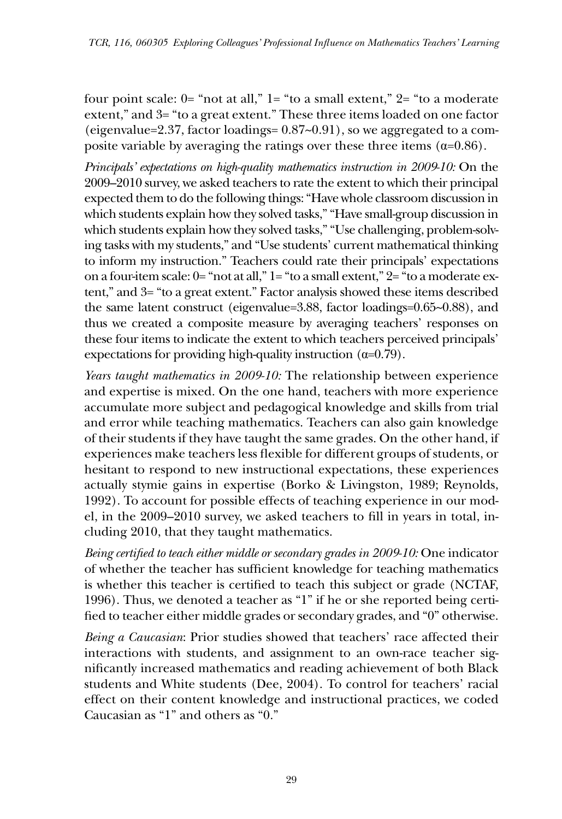four point scale:  $0$ = "not at all,"  $1$ = "to a small extent,"  $2$ = "to a moderate extent," and 3= "to a great extent." These three items loaded on one factor (eigenvalue=2.37, factor loadings= 0.87~0.91), so we aggregated to a composite variable by averaging the ratings over these three items  $(\alpha=0.86)$ .

*Principals' expectations on high-quality mathematics instruction in 2009-10:* On the 2009–2010 survey, we asked teachers to rate the extent to which their principal expected them to do the following things: "Have whole classroom discussion in which students explain how they solved tasks," "Have small-group discussion in which students explain how they solved tasks," "Use challenging, problem-solving tasks with my students," and "Use students' current mathematical thinking to inform my instruction." Teachers could rate their principals' expectations on a four-item scale: 0= "not at all," 1= "to a small extent," 2= "to a moderate extent," and 3= "to a great extent." Factor analysis showed these items described the same latent construct (eigenvalue=3.88, factor loadings=0.65~0.88), and thus we created a composite measure by averaging teachers' responses on these four items to indicate the extent to which teachers perceived principals' expectations for providing high-quality instruction  $(\alpha=0.79)$ .

*Years taught mathematics in 2009-10:* The relationship between experience and expertise is mixed. On the one hand, teachers with more experience accumulate more subject and pedagogical knowledge and skills from trial and error while teaching mathematics. Teachers can also gain knowledge of their students if they have taught the same grades. On the other hand, if experiences make teachers less flexible for different groups of students, or hesitant to respond to new instructional expectations, these experiences actually stymie gains in expertise (Borko & Livingston, 1989; Reynolds, 1992). To account for possible effects of teaching experience in our model, in the 2009–2010 survey, we asked teachers to fill in years in total, including 2010, that they taught mathematics.

*Being certified to teach either middle or secondary grades in 2009-10:* One indicator of whether the teacher has sufficient knowledge for teaching mathematics is whether this teacher is certified to teach this subject or grade (NCTAF, 1996). Thus, we denoted a teacher as "1" if he or she reported being certified to teacher either middle grades or secondary grades, and "0" otherwise.

*Being a Caucasian*: Prior studies showed that teachers' race affected their interactions with students, and assignment to an own-race teacher significantly increased mathematics and reading achievement of both Black students and White students (Dee, 2004). To control for teachers' racial effect on their content knowledge and instructional practices, we coded Caucasian as "1" and others as "0."